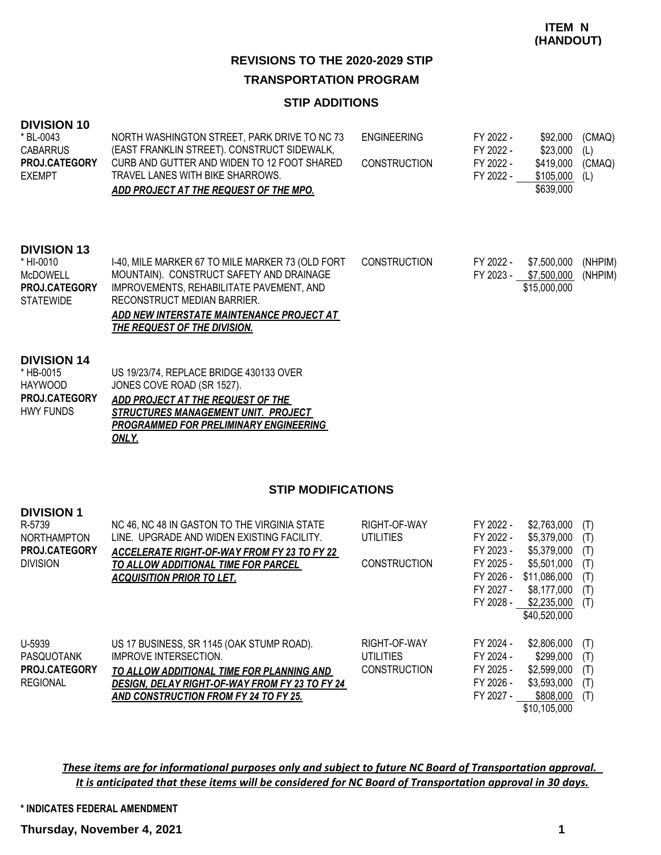# **REVISIONS TO THE 2020-2029 STIP**

#### **TRANSPORTATION PROGRAM**

### **STIP ADDITIONS**

### **DIVISION 10**

| NORTH WASHINGTON STREET. PARK DRIVE TO NC 73 | <b>ENGINEERING</b>                          | FY 2022 - |           |                                                                       |
|----------------------------------------------|---------------------------------------------|-----------|-----------|-----------------------------------------------------------------------|
| (EAST FRANKLIN STREET). CONSTRUCT SIDEWALK,  |                                             | FY 2022 - |           |                                                                       |
|                                              | CONSTRUCTION                                | FY 2022 - |           |                                                                       |
| TRAVEL LANES WITH BIKE SHARROWS.             |                                             | FY 2022 - |           |                                                                       |
| ADD PROJECT AT THE REQUEST OF THE MPO.       |                                             |           | \$639,000 |                                                                       |
|                                              | CURB AND GUTTER AND WIDEN TO 12 FOOT SHARED |           |           | \$92,000 (CMAQ)<br>\$23,000 (L)<br>\$419,000 (CMAQ)<br>$$105.000$ (L) |

#### **DIVISION 13**

| * HI-0010            | 1-40, MILE MARKER 67 TO MILE MARKER 73 (OLD FORT | <b>CONSTRUCTION</b> | FY 2022 - | \$7.500.000  | (NHPIM) |
|----------------------|--------------------------------------------------|---------------------|-----------|--------------|---------|
| McDOWELL             | MOUNTAIN). CONSTRUCT SAFETY AND DRAINAGE         |                     | FY 2023 - | \$7,500,000  | (NHPIM) |
| <b>PROJ.CATEGORY</b> | IMPROVEMENTS, REHABILITATE PAVEMENT, AND         |                     |           | \$15,000,000 |         |
| STATEWIDE            | RECONSTRUCT MEDIAN BARRIER.                      |                     |           |              |         |
|                      | ADD NEW INTERSTATE MAINTENANCE PROJECT AT        |                     |           |              |         |
|                      | THE REQUEST OF THE DIVISION.                     |                     |           |              |         |
|                      |                                                  |                     |           |              |         |

#### **DIVISION 14**

**DIVISION 1**

| * HB-0015            | US 19/23/74, REPLACE BRIDGE 430133 OVER       |
|----------------------|-----------------------------------------------|
| HAYWOOD              | JONES COVE ROAD (SR 1527).                    |
| <b>PROJ.CATEGORY</b> | ADD PROJECT AT THE REQUEST OF THE             |
| HWY FUNDS            | <b>STRUCTURES MANAGEMENT UNIT. PROJECT</b>    |
|                      | <b>PROGRAMMED FOR PRELIMINARY ENGINEERING</b> |
|                      | ONLY.                                         |

#### **STIP MODIFICATIONS**

| ו ושושועו<br>R-5739<br><b>NORTHAMPTON</b>                       | NC 46, NC 48 IN GASTON TO THE VIRGINIA STATE<br>LINE. UPGRADE AND WIDEN EXISTING FACILITY.                                                                                                                               | RIGHT-OF-WAY<br>UTILITIES                        | FY 2022 -<br>FY 2022 -                                        | \$2,763,000<br>\$5,379,000                                                               | (T)<br>(T)                      |
|-----------------------------------------------------------------|--------------------------------------------------------------------------------------------------------------------------------------------------------------------------------------------------------------------------|--------------------------------------------------|---------------------------------------------------------------|------------------------------------------------------------------------------------------|---------------------------------|
| PROJ.CATEGORY<br><b>DIVISION</b>                                | ACCELERATE RIGHT-OF-WAY FROM FY 23 TO FY 22<br>TO ALLOW ADDITIONAL TIME FOR PARCEL<br><b>ACQUISITION PRIOR TO LET.</b>                                                                                                   | <b>CONSTRUCTION</b>                              | FY 2023 -<br>FY 2025 -<br>FY 2026 -<br>FY 2027 -<br>FY 2028 - | \$5,379,000<br>\$5,501,000<br>\$11,086,000<br>\$8.177.000<br>\$2,235,000<br>\$40,520,000 | (T)<br>(T)<br>(T)<br>(T)<br>(T) |
| U-5939<br>PASQUOTANK<br><b>PROJ.CATEGORY</b><br><b>REGIONAL</b> | US 17 BUSINESS, SR 1145 (OAK STUMP ROAD).<br>IMPROVE INTERSECTION.<br>TO ALLOW ADDITIONAL TIME FOR PLANNING AND<br><b>DESIGN, DELAY RIGHT-OF-WAY FROM FY 23 TO FY 24</b><br><b>AND CONSTRUCTION FROM FY 24 TO FY 25.</b> | RIGHT-OF-WAY<br>UTILITIES<br><b>CONSTRUCTION</b> | FY 2024 -<br>FY 2024 -<br>FY 2025 -<br>FY 2026 -<br>FY 2027 - | \$2,806,000<br>\$299,000<br>\$2,599,000<br>\$3,593,000<br>\$808,000<br>\$10,105,000      | (T)<br>(T)<br>(T)<br>(T)<br>(T) |

*These items are for informational purposes only and subject to future NC Board of Transportation approval. It is anticipated that these items will be considered for NC Board of Transportation approval in 30 days.*

**\* INDICATES FEDERAL AMENDMENT**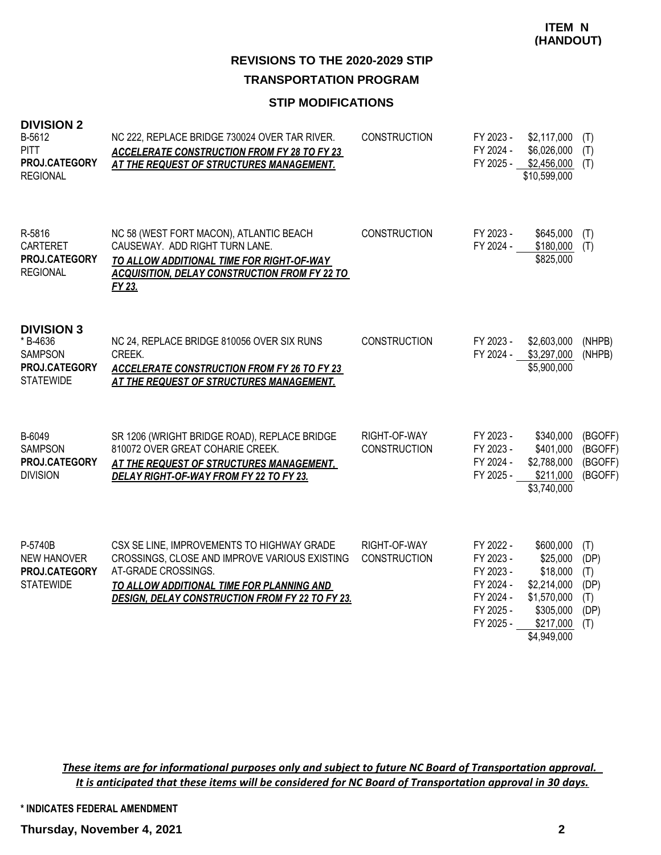#### **STIP MODIFICATIONS**

| <b>DIVISION 2</b><br>B-5612<br><b>PITT</b><br>PROJ.CATEGORY<br><b>REGIONAL</b>      | NC 222, REPLACE BRIDGE 730024 OVER TAR RIVER.<br><b>ACCELERATE CONSTRUCTION FROM FY 28 TO FY 23</b><br>AT THE REQUEST OF STRUCTURES MANAGEMENT.                                                                           | <b>CONSTRUCTION</b>                 | FY 2023 -<br>FY 2024 -                                                                  | \$2,117,000<br>\$6,026,000<br>FY 2025 - \$2,456,000<br>\$10,599,000                                      | (T)<br>(T)<br>(T)                                |
|-------------------------------------------------------------------------------------|---------------------------------------------------------------------------------------------------------------------------------------------------------------------------------------------------------------------------|-------------------------------------|-----------------------------------------------------------------------------------------|----------------------------------------------------------------------------------------------------------|--------------------------------------------------|
| R-5816<br><b>CARTERET</b><br>PROJ.CATEGORY<br><b>REGIONAL</b>                       | NC 58 (WEST FORT MACON), ATLANTIC BEACH<br>CAUSEWAY. ADD RIGHT TURN LANE.<br>TO ALLOW ADDITIONAL TIME FOR RIGHT-OF-WAY<br><b>ACQUISITION, DELAY CONSTRUCTION FROM FY 22 TO</b><br>FY 23.                                  | <b>CONSTRUCTION</b>                 | FY 2023 -<br>FY 2024 -                                                                  | \$645,000<br>\$180,000<br>\$825,000                                                                      | (T)<br>(T)                                       |
| <b>DIVISION 3</b><br>*B-4636<br><b>SAMPSON</b><br>PROJ.CATEGORY<br><b>STATEWIDE</b> | NC 24, REPLACE BRIDGE 810056 OVER SIX RUNS<br>CREEK.<br><b>ACCELERATE CONSTRUCTION FROM FY 26 TO FY 23</b><br>AT THE REQUEST OF STRUCTURES MANAGEMENT.                                                                    | <b>CONSTRUCTION</b>                 | FY 2023 -<br>FY 2024 -                                                                  | \$2,603,000<br>\$3,297,000<br>\$5,900,000                                                                | (NHPB)<br>(NHPB)                                 |
| B-6049<br><b>SAMPSON</b><br>PROJ.CATEGORY<br><b>DIVISION</b>                        | SR 1206 (WRIGHT BRIDGE ROAD), REPLACE BRIDGE<br>810072 OVER GREAT COHARIE CREEK.<br>AT THE REQUEST OF STRUCTURES MANAGEMENT.<br>DELAY RIGHT-OF-WAY FROM FY 22 TO FY 23.                                                   | RIGHT-OF-WAY<br><b>CONSTRUCTION</b> | FY 2023 -<br>FY 2023 -<br>FY 2024 -<br>FY 2025 -                                        | \$340,000<br>\$401,000<br>\$2,788,000<br>\$211,000<br>\$3,740,000                                        | (BGOFF)<br>(BGOFF)<br>(BGOFF)<br>(BGOFF)         |
| P-5740B<br><b>NEW HANOVER</b><br>PROJ.CATEGORY<br><b>STATEWIDE</b>                  | CSX SE LINE, IMPROVEMENTS TO HIGHWAY GRADE<br>CROSSINGS, CLOSE AND IMPROVE VARIOUS EXISTING<br>AT-GRADE CROSSINGS.<br>TO ALLOW ADDITIONAL TIME FOR PLANNING AND<br><b>DESIGN, DELAY CONSTRUCTION FROM FY 22 TO FY 23.</b> | RIGHT-OF-WAY<br><b>CONSTRUCTION</b> | FY 2022 -<br>FY 2023 -<br>FY 2023 -<br>FY 2024 -<br>FY 2024 -<br>FY 2025 -<br>FY 2025 - | \$600,000<br>\$25,000<br>\$18,000<br>\$2,214,000<br>\$1,570,000<br>\$305,000<br>\$217,000<br>\$4,949,000 | (T)<br>(DP)<br>(T)<br>(DP)<br>(T)<br>(DP)<br>(T) |

*These items are for informational purposes only and subject to future NC Board of Transportation approval. It is anticipated that these items will be considered for NC Board of Transportation approval in 30 days.*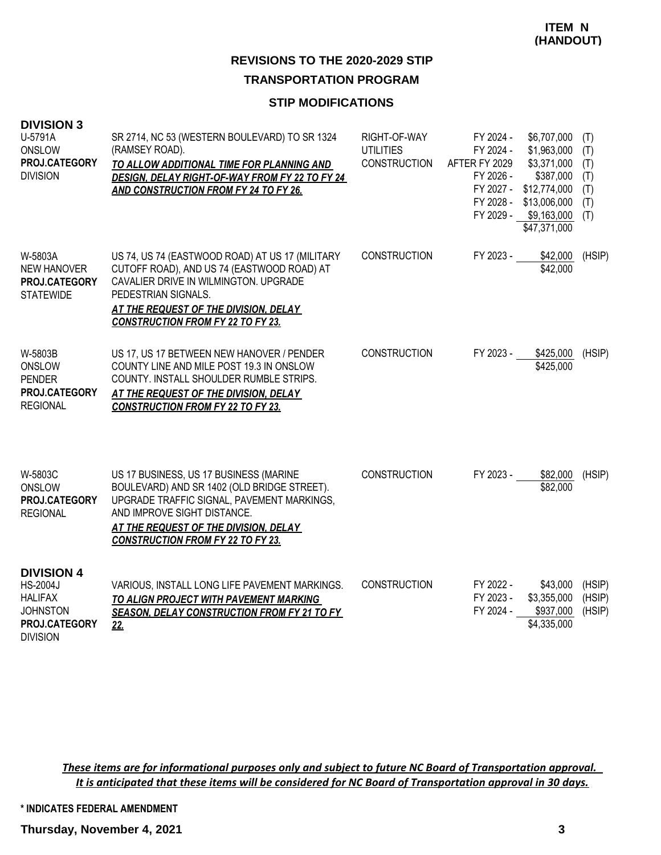#### **STIP MODIFICATIONS**

| <b>DIVISION 3</b><br>U-5791A<br>ONSLOW<br>PROJ.CATEGORY<br><b>DIVISION</b>                                    | SR 2714, NC 53 (WESTERN BOULEVARD) TO SR 1324<br>(RAMSEY ROAD).<br>TO ALLOW ADDITIONAL TIME FOR PLANNING AND<br>DESIGN, DELAY RIGHT-OF-WAY FROM FY 22 TO FY 24<br>AND CONSTRUCTION FROM FY 24 TO FY 26.                                                   | RIGHT-OF-WAY<br><b>UTILITIES</b><br><b>CONSTRUCTION</b> | FY 2024 -<br>FY 2024 -<br>AFTER FY 2029<br>FY 2026 -<br>FY 2027 -<br>FY 2028 - | \$6,707,000<br>\$1,963,000<br>\$3,371,000<br>\$387,000<br>\$12,774,000<br>\$13,006,000<br>FY 2029 - \$9,163,000<br>\$47,371,000 | (T)<br>(T)<br>(T)<br>(T)<br>(T)<br>(T)<br>(T) |
|---------------------------------------------------------------------------------------------------------------|-----------------------------------------------------------------------------------------------------------------------------------------------------------------------------------------------------------------------------------------------------------|---------------------------------------------------------|--------------------------------------------------------------------------------|---------------------------------------------------------------------------------------------------------------------------------|-----------------------------------------------|
| W-5803A<br><b>NEW HANOVER</b><br>PROJ.CATEGORY<br><b>STATEWIDE</b>                                            | US 74, US 74 (EASTWOOD ROAD) AT US 17 (MILITARY<br>CUTOFF ROAD), AND US 74 (EASTWOOD ROAD) AT<br>CAVALIER DRIVE IN WILMINGTON. UPGRADE<br>PEDESTRIAN SIGNALS.<br><b>AT THE REQUEST OF THE DIVISION, DELAY</b><br><b>CONSTRUCTION FROM FY 22 TO FY 23.</b> | <b>CONSTRUCTION</b>                                     | FY 2023 -                                                                      | \$42,000<br>\$42,000                                                                                                            | (HSIP)                                        |
| W-5803B<br>ONSLOW<br><b>PENDER</b><br>PROJ.CATEGORY<br><b>REGIONAL</b>                                        | US 17, US 17 BETWEEN NEW HANOVER / PENDER<br>COUNTY LINE AND MILE POST 19.3 IN ONSLOW<br>COUNTY. INSTALL SHOULDER RUMBLE STRIPS.<br>AT THE REQUEST OF THE DIVISION, DELAY<br><b>CONSTRUCTION FROM FY 22 TO FY 23.</b>                                     | <b>CONSTRUCTION</b>                                     | FY 2023 -                                                                      | \$425,000<br>\$425,000                                                                                                          | (HSIP)                                        |
| W-5803C<br>ONSLOW<br>PROJ.CATEGORY<br><b>REGIONAL</b>                                                         | US 17 BUSINESS, US 17 BUSINESS (MARINE<br>BOULEVARD) AND SR 1402 (OLD BRIDGE STREET).<br>UPGRADE TRAFFIC SIGNAL, PAVEMENT MARKINGS,<br>AND IMPROVE SIGHT DISTANCE.<br>AT THE REQUEST OF THE DIVISION, DELAY<br><b>CONSTRUCTION FROM FY 22 TO FY 23.</b>   | <b>CONSTRUCTION</b>                                     | FY 2023 -                                                                      | \$82,000<br>\$82,000                                                                                                            | (HSIP)                                        |
| <b>DIVISION 4</b><br><b>HS-2004J</b><br><b>HALIFAX</b><br><b>JOHNSTON</b><br>PROJ.CATEGORY<br><b>DIVISION</b> | VARIOUS, INSTALL LONG LIFE PAVEMENT MARKINGS.<br>TO ALIGN PROJECT WITH PAVEMENT MARKING<br>SEASON, DELAY CONSTRUCTION FROM FY 21 TO FY<br>22.                                                                                                             | <b>CONSTRUCTION</b>                                     | FY 2022 -<br>FY 2023 -<br>FY 2024 -                                            | \$43,000<br>\$3,355,000<br>\$937,000<br>\$4,335,000                                                                             | (HSIP)<br>(HSIP)<br>(HSIP)                    |

*These items are for informational purposes only and subject to future NC Board of Transportation approval. It is anticipated that these items will be considered for NC Board of Transportation approval in 30 days.*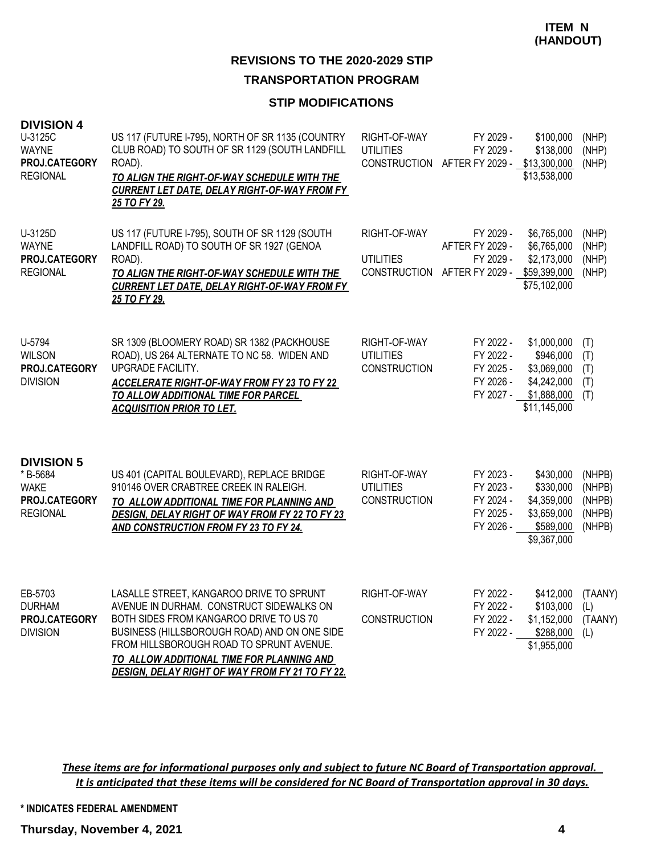#### **STIP MODIFICATIONS**

| <b>DIVISION 4</b><br>U-3125C<br><b>WAYNE</b><br>PROJ.CATEGORY<br><b>REGIONAL</b>        | US 117 (FUTURE I-795), NORTH OF SR 1135 (COUNTRY<br>CLUB ROAD) TO SOUTH OF SR 1129 (SOUTH LANDFILL<br>ROAD).<br>TO ALIGN THE RIGHT-OF-WAY SCHEDULE WITH THE<br><b>CURRENT LET DATE, DELAY RIGHT-OF-WAY FROM FY</b><br>25 TO FY 29.                                                                                                 | RIGHT-OF-WAY<br><b>UTILITIES</b>                        | FY 2029 -<br>FY 2029 -<br>CONSTRUCTION AFTER FY 2029 - \$13,300,000 | \$100,000<br>\$138,000<br>\$13,538,000                                                | (NHP)<br>(NHP)<br>(NHP)                        |
|-----------------------------------------------------------------------------------------|------------------------------------------------------------------------------------------------------------------------------------------------------------------------------------------------------------------------------------------------------------------------------------------------------------------------------------|---------------------------------------------------------|---------------------------------------------------------------------|---------------------------------------------------------------------------------------|------------------------------------------------|
| U-3125D<br><b>WAYNE</b><br>PROJ.CATEGORY<br><b>REGIONAL</b>                             | US 117 (FUTURE I-795), SOUTH OF SR 1129 (SOUTH<br>LANDFILL ROAD) TO SOUTH OF SR 1927 (GENOA<br>ROAD).<br>TO ALIGN THE RIGHT-OF-WAY SCHEDULE WITH THE<br><b>CURRENT LET DATE, DELAY RIGHT-OF-WAY FROM FY</b><br>25 TO FY 29.                                                                                                        | RIGHT-OF-WAY<br><b>UTILITIES</b><br><b>CONSTRUCTION</b> | FY 2029 -<br>AFTER FY 2029 -<br>FY 2029 -<br>AFTER FY 2029 -        | \$6,765,000<br>\$6,765,000<br>\$2,173,000<br>\$59,399,000<br>\$75,102,000             | (NHP)<br>(NHP)<br>(NHP)<br>(NHP)               |
| U-5794<br><b>WILSON</b><br>PROJ.CATEGORY<br><b>DIVISION</b>                             | SR 1309 (BLOOMERY ROAD) SR 1382 (PACKHOUSE<br>ROAD), US 264 ALTERNATE TO NC 58. WIDEN AND<br>UPGRADE FACILITY.<br><b>ACCELERATE RIGHT-OF-WAY FROM FY 23 TO FY 22</b><br>TO ALLOW ADDITIONAL TIME FOR PARCEL<br><b>ACQUISITION PRIOR TO LET.</b>                                                                                    | RIGHT-OF-WAY<br><b>UTILITIES</b><br><b>CONSTRUCTION</b> | FY 2022 -<br>FY 2022 -<br>FY 2025 -<br>FY 2026 -<br>FY 2027 -       | \$1,000,000<br>\$946,000<br>\$3,069,000<br>\$4,242,000<br>\$1,888,000<br>\$11,145,000 | (T)<br>(T)<br>(T)<br>(T)<br>(T)                |
| <b>DIVISION 5</b><br>* B-5684<br><b>WAKE</b><br><b>PROJ.CATEGORY</b><br><b>REGIONAL</b> | US 401 (CAPITAL BOULEVARD), REPLACE BRIDGE<br>910146 OVER CRABTREE CREEK IN RALEIGH.<br>TO ALLOW ADDITIONAL TIME FOR PLANNING AND<br><b>DESIGN, DELAY RIGHT OF WAY FROM FY 22 TO FY 23</b><br>AND CONSTRUCTION FROM FY 23 TO FY 24.                                                                                                | RIGHT-OF-WAY<br><b>UTILITIES</b><br><b>CONSTRUCTION</b> | FY 2023 -<br>FY 2023 -<br>FY 2024 -<br>FY 2025 -<br>FY 2026 -       | \$430,000<br>\$330,000<br>\$4,359,000<br>\$3,659,000<br>\$589,000<br>\$9,367,000      | (NHPB)<br>(NHPB)<br>(NHPB)<br>(NHPB)<br>(NHPB) |
| EB-5703<br><b>DURHAM</b><br>PROJ.CATEGORY<br><b>DIVISION</b>                            | LASALLE STREET, KANGAROO DRIVE TO SPRUNT<br>AVENUE IN DURHAM. CONSTRUCT SIDEWALKS ON<br>BOTH SIDES FROM KANGAROO DRIVE TO US 70<br>BUSINESS (HILLSBOROUGH ROAD) AND ON ONE SIDE<br>FROM HILLSBOROUGH ROAD TO SPRUNT AVENUE.<br>TO ALLOW ADDITIONAL TIME FOR PLANNING AND<br><b>DESIGN, DELAY RIGHT OF WAY FROM FY 21 TO FY 22.</b> | RIGHT-OF-WAY<br><b>CONSTRUCTION</b>                     | FY 2022 -<br>FY 2022 -<br>FY 2022 -<br>FY 2022 -                    | \$412,000<br>\$103,000<br>\$1,152,000<br>\$288,000<br>\$1,955,000                     | (TAANY)<br>(L)<br>(TAANY)<br>(L)               |

*These items are for informational purposes only and subject to future NC Board of Transportation approval. It is anticipated that these items will be considered for NC Board of Transportation approval in 30 days.*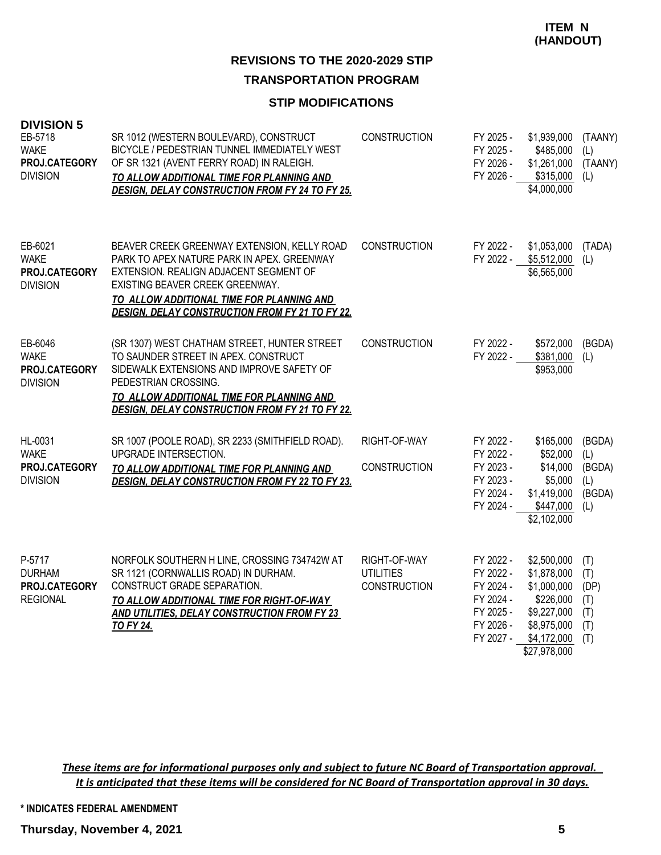#### **STIP MODIFICATIONS**

| <b>DIVISION 5</b><br>EB-5718<br><b>WAKE</b><br>PROJ.CATEGORY<br><b>DIVISION</b> | SR 1012 (WESTERN BOULEVARD), CONSTRUCT<br>BICYCLE / PEDESTRIAN TUNNEL IMMEDIATELY WEST<br>OF SR 1321 (AVENT FERRY ROAD) IN RALEIGH.<br>TO ALLOW ADDITIONAL TIME FOR PLANNING AND<br><b>DESIGN, DELAY CONSTRUCTION FROM FY 24 TO FY 25.</b>                                    | <b>CONSTRUCTION</b>                              | FY 2025 -<br>FY 2025 -<br>FY 2026 -<br>FY 2026 -                                        | \$1,939,000<br>\$485,000<br>\$1,261,000<br>$$315,000$ (L)<br>\$4,000,000                                            | (TAANY)<br>(L)<br>(TAANY)                       |
|---------------------------------------------------------------------------------|-------------------------------------------------------------------------------------------------------------------------------------------------------------------------------------------------------------------------------------------------------------------------------|--------------------------------------------------|-----------------------------------------------------------------------------------------|---------------------------------------------------------------------------------------------------------------------|-------------------------------------------------|
| EB-6021<br><b>WAKE</b><br>PROJ.CATEGORY<br><b>DIVISION</b>                      | BEAVER CREEK GREENWAY EXTENSION, KELLY ROAD<br>PARK TO APEX NATURE PARK IN APEX. GREENWAY<br>EXTENSION. REALIGN ADJACENT SEGMENT OF<br>EXISTING BEAVER CREEK GREENWAY.<br>TO ALLOW ADDITIONAL TIME FOR PLANNING AND<br><b>DESIGN, DELAY CONSTRUCTION FROM FY 21 TO FY 22.</b> | <b>CONSTRUCTION</b>                              | FY 2022 -<br>FY 2022 -                                                                  | \$1,053,000<br>\$5,512,000<br>\$6,565,000                                                                           | (TADA)<br>(L)                                   |
| EB-6046<br><b>WAKE</b><br>PROJ.CATEGORY<br><b>DIVISION</b>                      | (SR 1307) WEST CHATHAM STREET, HUNTER STREET<br>TO SAUNDER STREET IN APEX. CONSTRUCT<br>SIDEWALK EXTENSIONS AND IMPROVE SAFETY OF<br>PEDESTRIAN CROSSING.<br>TO ALLOW ADDITIONAL TIME FOR PLANNING AND<br><b>DESIGN, DELAY CONSTRUCTION FROM FY 21 TO FY 22.</b>              | CONSTRUCTION                                     | FY 2022 -<br>FY 2022 -                                                                  | \$572,000<br>\$381,000<br>\$953,000                                                                                 | (BGDA)<br>(L)                                   |
| HL-0031<br><b>WAKE</b><br>PROJ.CATEGORY<br><b>DIVISION</b>                      | SR 1007 (POOLE ROAD), SR 2233 (SMITHFIELD ROAD).<br>UPGRADE INTERSECTION.<br>TO ALLOW ADDITIONAL TIME FOR PLANNING AND<br><b>DESIGN, DELAY CONSTRUCTION FROM FY 22 TO FY 23.</b>                                                                                              | RIGHT-OF-WAY<br><b>CONSTRUCTION</b>              | FY 2022 -<br>FY 2022 -<br>FY 2023 -<br>FY 2023 -<br>FY 2024 -<br>FY 2024 -              | \$165,000<br>\$52,000<br>\$14,000<br>\$5,000<br>\$1,419,000<br>\$447,000<br>\$2,102,000                             | (BGDA)<br>(L)<br>(BGDA)<br>(L)<br>(BGDA)<br>(L) |
| P-5717<br><b>DURHAM</b><br>PROJ.CATEGORY<br><b>REGIONAL</b>                     | NORFOLK SOUTHERN H LINE, CROSSING 734742W AT<br>SR 1121 (CORNWALLIS ROAD) IN DURHAM.<br>CONSTRUCT GRADE SEPARATION.<br>TO ALLOW ADDITIONAL TIME FOR RIGHT-OF-WAY<br><b>AND UTILITIES, DELAY CONSTRUCTION FROM FY 23</b><br><b>TO FY 24.</b>                                   | RIGHT-OF-WAY<br><b>UTILITIES</b><br>CONSTRUCTION | FY 2022 -<br>FY 2022 -<br>FY 2024 -<br>FY 2024 -<br>FY 2025 -<br>FY 2026 -<br>FY 2027 - | \$2,500,000<br>\$1,878,000<br>\$1,000,000<br>\$226,000<br>\$9,227,000<br>\$8,975,000<br>\$4,172,000<br>\$27,978,000 | (T)<br>(T)<br>(DP)<br>(T)<br>(T)<br>(T)<br>(T)  |

*These items are for informational purposes only and subject to future NC Board of Transportation approval. It is anticipated that these items will be considered for NC Board of Transportation approval in 30 days.*

**\* INDICATES FEDERAL AMENDMENT**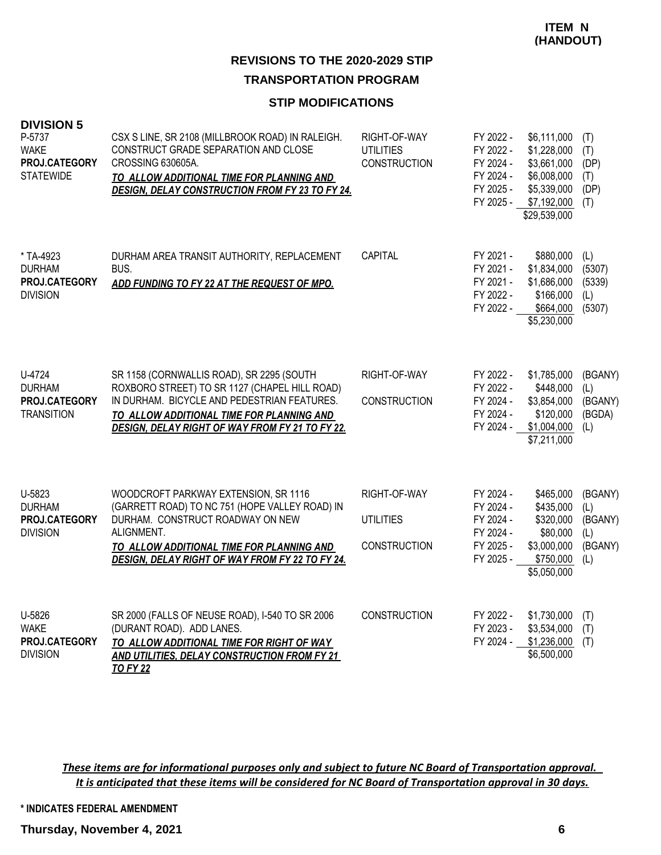#### **STIP MODIFICATIONS**

| <b>DIVISION 5</b><br>P-5737<br><b>WAKE</b><br>PROJ.CATEGORY<br><b>STATEWIDE</b> | CSX S LINE, SR 2108 (MILLBROOK ROAD) IN RALEIGH.<br>CONSTRUCT GRADE SEPARATION AND CLOSE<br>CROSSING 630605A.<br>TO ALLOW ADDITIONAL TIME FOR PLANNING AND<br><b>DESIGN, DELAY CONSTRUCTION FROM FY 23 TO FY 24.</b>                      | RIGHT-OF-WAY<br><b>UTILITIES</b><br><b>CONSTRUCTION</b> | FY 2022 -<br>FY 2022 -<br>FY 2024 -<br>FY 2024 -<br>FY 2025 -<br>FY 2025 - | \$6,111,000<br>\$1,228,000<br>\$3,661,000<br>\$6,008,000<br>\$5,339,000<br>\$7,192,000<br>\$29,539,000 | (T)<br>(T)<br>(DP)<br>(T)<br>(DP)<br>(T)           |
|---------------------------------------------------------------------------------|-------------------------------------------------------------------------------------------------------------------------------------------------------------------------------------------------------------------------------------------|---------------------------------------------------------|----------------------------------------------------------------------------|--------------------------------------------------------------------------------------------------------|----------------------------------------------------|
| * TA-4923<br><b>DURHAM</b><br>PROJ.CATEGORY<br><b>DIVISION</b>                  | DURHAM AREA TRANSIT AUTHORITY, REPLACEMENT<br>BUS.<br>ADD FUNDING TO FY 22 AT THE REQUEST OF MPO.                                                                                                                                         | <b>CAPITAL</b>                                          | FY 2021 -<br>FY 2021 -<br>FY 2021 -<br>FY 2022 -<br>FY 2022 -              | \$880,000<br>\$1,834,000<br>\$1,686,000<br>\$166,000<br>\$664,000<br>\$5,230,000                       | (L)<br>(5307)<br>(5339)<br>(L)<br>(5307)           |
| U-4724<br><b>DURHAM</b><br>PROJ.CATEGORY<br><b>TRANSITION</b>                   | SR 1158 (CORNWALLIS ROAD), SR 2295 (SOUTH<br>ROXBORO STREET) TO SR 1127 (CHAPEL HILL ROAD)<br>IN DURHAM. BICYCLE AND PEDESTRIAN FEATURES.<br>TO ALLOW ADDITIONAL TIME FOR PLANNING AND<br>DESIGN, DELAY RIGHT OF WAY FROM FY 21 TO FY 22. | RIGHT-OF-WAY<br><b>CONSTRUCTION</b>                     | FY 2022 -<br>FY 2022 -<br>FY 2024 -<br>FY 2024 -<br>FY 2024 -              | \$1,785,000<br>\$448,000<br>\$3,854,000<br>\$120,000<br>\$1,004,000<br>\$7,211,000                     | (BGANY)<br>(L)<br>(BGANY)<br>(BGDA)<br>(L)         |
| U-5823<br><b>DURHAM</b><br>PROJ.CATEGORY<br><b>DIVISION</b>                     | WOODCROFT PARKWAY EXTENSION, SR 1116<br>(GARRETT ROAD) TO NC 751 (HOPE VALLEY ROAD) IN<br>DURHAM. CONSTRUCT ROADWAY ON NEW<br>ALIGNMENT.<br>TO ALLOW ADDITIONAL TIME FOR PLANNING AND<br>DESIGN, DELAY RIGHT OF WAY FROM FY 22 TO FY 24.  | RIGHT-OF-WAY<br><b>UTILITIES</b><br><b>CONSTRUCTION</b> | FY 2024 -<br>FY 2024 -<br>FY 2024 -<br>FY 2024 -<br>FY 2025 -<br>FY 2025 - | \$465,000<br>\$435,000<br>\$320,000<br>\$80,000<br>\$3,000,000<br>\$750,000<br>\$5,050,000             | (BGANY)<br>(L)<br>(BGANY)<br>(L)<br>(BGANY)<br>(L) |
| U-5826<br><b>WAKE</b><br>PROJ.CATEGORY<br><b>DIVISION</b>                       | SR 2000 (FALLS OF NEUSE ROAD), I-540 TO SR 2006<br>(DURANT ROAD). ADD LANES.<br>TO ALLOW ADDITIONAL TIME FOR RIGHT OF WAY<br>AND UTILITIES, DELAY CONSTRUCTION FROM FY 21<br><b>TO FY 22</b>                                              | <b>CONSTRUCTION</b>                                     | FY 2022 -<br>FY 2023 -<br>FY 2024 -                                        | \$1,730,000<br>\$3,534,000<br>\$1,236,000<br>\$6,500,000                                               | (T)<br>(T)<br>(T)                                  |

*These items are for informational purposes only and subject to future NC Board of Transportation approval. It is anticipated that these items will be considered for NC Board of Transportation approval in 30 days.*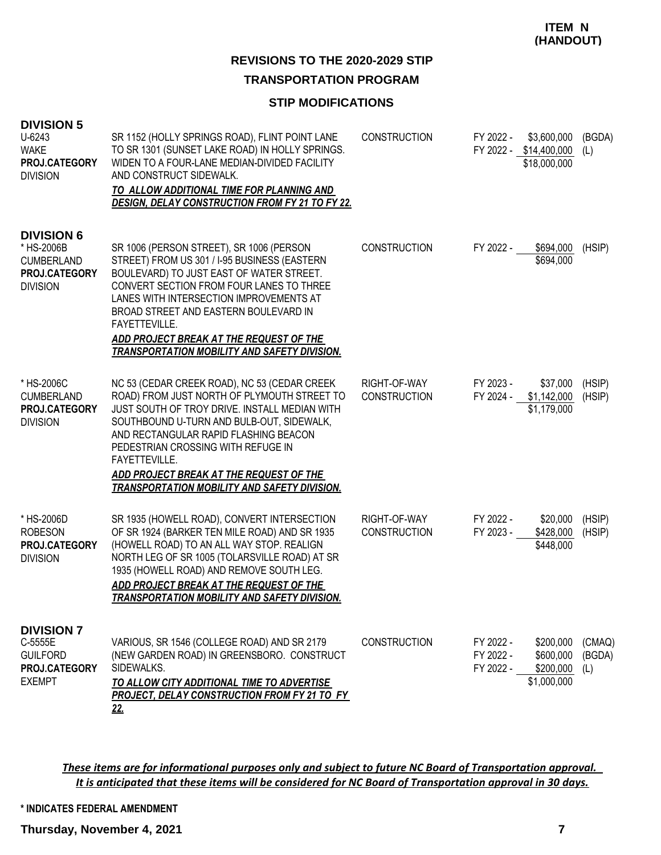### **REVISIONS TO THE 2020-2029 STIP TRANSPORTATION PROGRAM**

#### **STIP MODIFICATIONS**

| <b>DIVISION 5</b><br>U-6243<br><b>WAKE</b><br>PROJ.CATEGORY<br><b>DIVISION</b>           | SR 1152 (HOLLY SPRINGS ROAD), FLINT POINT LANE<br>TO SR 1301 (SUNSET LAKE ROAD) IN HOLLY SPRINGS.<br>WIDEN TO A FOUR-LANE MEDIAN-DIVIDED FACILITY<br>AND CONSTRUCT SIDEWALK.<br>TO ALLOW ADDITIONAL TIME FOR PLANNING AND<br><b>DESIGN, DELAY CONSTRUCTION FROM FY 21 TO FY 22.</b>                                                                                                         | <b>CONSTRUCTION</b>                 | FY 2022 -                           | \$3,600,000<br>FY 2022 - \$14,400,000<br>\$18,000,000 | (BGDA)<br>(L)           |
|------------------------------------------------------------------------------------------|---------------------------------------------------------------------------------------------------------------------------------------------------------------------------------------------------------------------------------------------------------------------------------------------------------------------------------------------------------------------------------------------|-------------------------------------|-------------------------------------|-------------------------------------------------------|-------------------------|
| <b>DIVISION 6</b><br>* HS-2006B<br><b>CUMBERLAND</b><br>PROJ.CATEGORY<br><b>DIVISION</b> | SR 1006 (PERSON STREET), SR 1006 (PERSON<br>STREET) FROM US 301 / I-95 BUSINESS (EASTERN<br>BOULEVARD) TO JUST EAST OF WATER STREET.<br>CONVERT SECTION FROM FOUR LANES TO THREE<br>LANES WITH INTERSECTION IMPROVEMENTS AT<br>BROAD STREET AND EASTERN BOULEVARD IN<br>FAYETTEVILLE.<br>ADD PROJECT BREAK AT THE REQUEST OF THE<br><b>TRANSPORTATION MOBILITY AND SAFETY DIVISION.</b>     | <b>CONSTRUCTION</b>                 | FY 2022 -                           | \$694,000<br>\$694,000                                | (HSIP)                  |
| * HS-2006C<br><b>CUMBERLAND</b><br>PROJ.CATEGORY<br><b>DIVISION</b>                      | NC 53 (CEDAR CREEK ROAD), NC 53 (CEDAR CREEK<br>ROAD) FROM JUST NORTH OF PLYMOUTH STREET TO<br>JUST SOUTH OF TROY DRIVE. INSTALL MEDIAN WITH<br>SOUTHBOUND U-TURN AND BULB-OUT, SIDEWALK,<br>AND RECTANGULAR RAPID FLASHING BEACON<br>PEDESTRIAN CROSSING WITH REFUGE IN<br>FAYETTEVILLE.<br>ADD PROJECT BREAK AT THE REQUEST OF THE<br><b>TRANSPORTATION MOBILITY AND SAFETY DIVISION.</b> | RIGHT-OF-WAY<br><b>CONSTRUCTION</b> | FY 2023 -<br>FY 2024 -              | \$37,000<br>\$1,142,000<br>\$1,179,000                | (HSIP)<br>(HSIP)        |
| * HS-2006D<br><b>ROBESON</b><br>PROJ.CATEGORY<br><b>DIVISION</b>                         | SR 1935 (HOWELL ROAD), CONVERT INTERSECTION<br>OF SR 1924 (BARKER TEN MILE ROAD) AND SR 1935<br>(HOWELL ROAD) TO AN ALL WAY STOP. REALIGN<br>NORTH LEG OF SR 1005 (TOLARSVILLE ROAD) AT SR<br>1935 (HOWELL ROAD) AND REMOVE SOUTH LEG.<br>ADD PROJECT BREAK AT THE REQUEST OF THE<br><b>TRANSPORTATION MOBILITY AND SAFETY DIVISION.</b>                                                    | RIGHT-OF-WAY<br><b>CONSTRUCTION</b> | FY 2022 -<br>FY 2023 -              | \$20,000<br>\$428,000<br>\$448,000                    | (HSIP)<br>(HSIP)        |
| <b>DIVISION 7</b><br>C-5555E<br><b>GUILFORD</b><br>PROJ.CATEGORY<br><b>EXEMPT</b>        | VARIOUS, SR 1546 (COLLEGE ROAD) AND SR 2179<br>(NEW GARDEN ROAD) IN GREENSBORO. CONSTRUCT<br>SIDEWALKS.<br>TO ALLOW CITY ADDITIONAL TIME TO ADVERTISE<br>PROJECT, DELAY CONSTRUCTION FROM FY 21 TO FY<br>22.                                                                                                                                                                                | <b>CONSTRUCTION</b>                 | FY 2022 -<br>FY 2022 -<br>FY 2022 - | \$200,000<br>\$600,000<br>\$200,000<br>\$1,000,000    | (CMAQ)<br>(BGDA)<br>(L) |

*These items are for informational purposes only and subject to future NC Board of Transportation approval. It is anticipated that these items will be considered for NC Board of Transportation approval in 30 days.*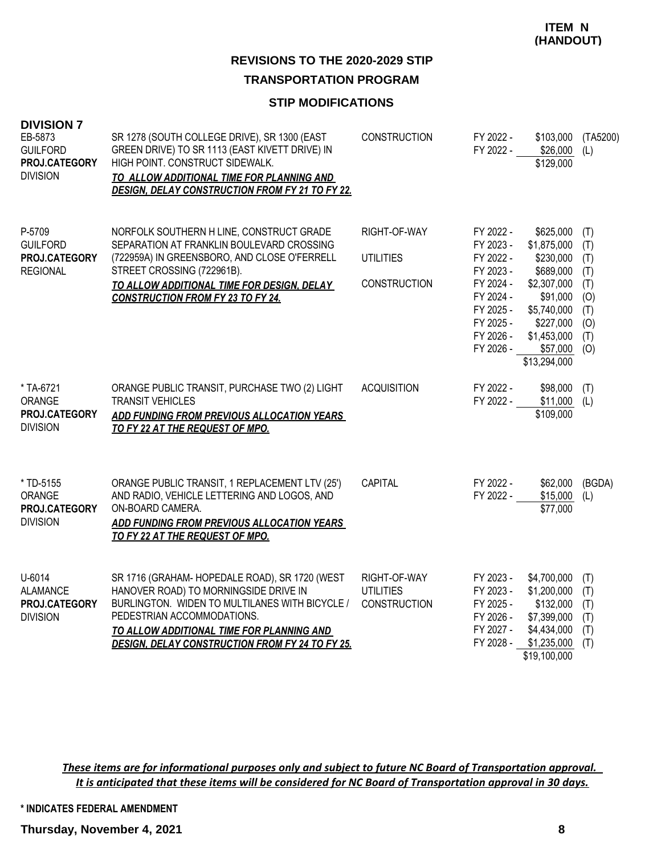### **REVISIONS TO THE 2020-2029 STIP TRANSPORTATION PROGRAM**

#### **STIP MODIFICATIONS**

| <b>DIVISION 7</b><br>EB-5873<br><b>GUILFORD</b><br>PROJ.CATEGORY<br><b>DIVISION</b> | SR 1278 (SOUTH COLLEGE DRIVE), SR 1300 (EAST<br>GREEN DRIVE) TO SR 1113 (EAST KIVETT DRIVE) IN<br>HIGH POINT, CONSTRUCT SIDEWALK.<br>TO ALLOW ADDITIONAL TIME FOR PLANNING AND<br><b>DESIGN, DELAY CONSTRUCTION FROM FY 21 TO FY 22.</b>                                       | <b>CONSTRUCTION</b>                                     | FY 2022 -<br>FY 2022 -                                                                                                         | \$103,000<br>\$26,000<br>\$129,000                                                                                                                   | (TA5200)<br>(L)                                                    |
|-------------------------------------------------------------------------------------|--------------------------------------------------------------------------------------------------------------------------------------------------------------------------------------------------------------------------------------------------------------------------------|---------------------------------------------------------|--------------------------------------------------------------------------------------------------------------------------------|------------------------------------------------------------------------------------------------------------------------------------------------------|--------------------------------------------------------------------|
| P-5709<br><b>GUILFORD</b><br>PROJ.CATEGORY<br><b>REGIONAL</b>                       | NORFOLK SOUTHERN H LINE, CONSTRUCT GRADE<br>SEPARATION AT FRANKLIN BOULEVARD CROSSING<br>(722959A) IN GREENSBORO, AND CLOSE O'FERRELL<br>STREET CROSSING (722961B).<br>TO ALLOW ADDITIONAL TIME FOR DESIGN, DELAY<br><b>CONSTRUCTION FROM FY 23 TO FY 24.</b>                  | RIGHT-OF-WAY<br><b>UTILITIES</b><br><b>CONSTRUCTION</b> | FY 2022 -<br>FY 2023 -<br>FY 2022 -<br>FY 2023 -<br>FY 2024 -<br>FY 2024 -<br>FY 2025 -<br>FY 2025 -<br>FY 2026 -<br>FY 2026 - | \$625,000<br>\$1,875,000<br>\$230,000<br>\$689,000<br>\$2,307,000<br>\$91,000<br>\$5,740,000<br>\$227,000<br>\$1,453,000<br>\$57,000<br>\$13,294,000 | (T)<br>(T)<br>(T)<br>(T)<br>(T)<br>(O)<br>(T)<br>(O)<br>(T)<br>(O) |
| *TA-6721<br>ORANGE<br>PROJ.CATEGORY<br><b>DIVISION</b>                              | ORANGE PUBLIC TRANSIT, PURCHASE TWO (2) LIGHT<br><b>TRANSIT VEHICLES</b><br>ADD FUNDING FROM PREVIOUS ALLOCATION YEARS<br>TO FY 22 AT THE REQUEST OF MPO.                                                                                                                      | <b>ACQUISITION</b>                                      | FY 2022 -<br>FY 2022 -                                                                                                         | \$98,000<br>$$11,000$ (L)<br>\$109,000                                                                                                               | (T)                                                                |
| * TD-5155<br>ORANGE<br>PROJ.CATEGORY<br><b>DIVISION</b>                             | ORANGE PUBLIC TRANSIT, 1 REPLACEMENT LTV (25')<br>AND RADIO, VEHICLE LETTERING AND LOGOS, AND<br>ON-BOARD CAMERA.<br>ADD FUNDING FROM PREVIOUS ALLOCATION YEARS<br>TO FY 22 AT THE REQUEST OF MPO.                                                                             | CAPITAL                                                 | FY 2022 -<br>FY 2022 -                                                                                                         | \$62,000<br>\$15,000<br>\$77,000                                                                                                                     | (BGDA)<br>(L)                                                      |
| U-6014<br><b>ALAMANCE</b><br>PROJ.CATEGORY<br><b>DIVISION</b>                       | SR 1716 (GRAHAM- HOPEDALE ROAD), SR 1720 (WEST<br>HANOVER ROAD) TO MORNINGSIDE DRIVE IN<br>BURLINGTON. WIDEN TO MULTILANES WITH BICYCLE /<br>PEDESTRIAN ACCOMMODATIONS.<br>TO ALLOW ADDITIONAL TIME FOR PLANNING AND<br><b>DESIGN, DELAY CONSTRUCTION FROM FY 24 TO FY 25.</b> | RIGHT-OF-WAY<br><b>UTILITIES</b><br><b>CONSTRUCTION</b> | FY 2023 -<br>FY 2023 -<br>FY 2025 -<br>FY 2026 -<br>FY 2027 -<br>FY 2028 -                                                     | \$4,700,000<br>\$1,200,000<br>\$132,000<br>\$7,399,000<br>\$4,434,000<br>\$1,235,000<br>\$19,100,000                                                 | (T)<br>(T)<br>(T)<br>(T)<br>(T)<br>(T)                             |

*These items are for informational purposes only and subject to future NC Board of Transportation approval. It is anticipated that these items will be considered for NC Board of Transportation approval in 30 days.*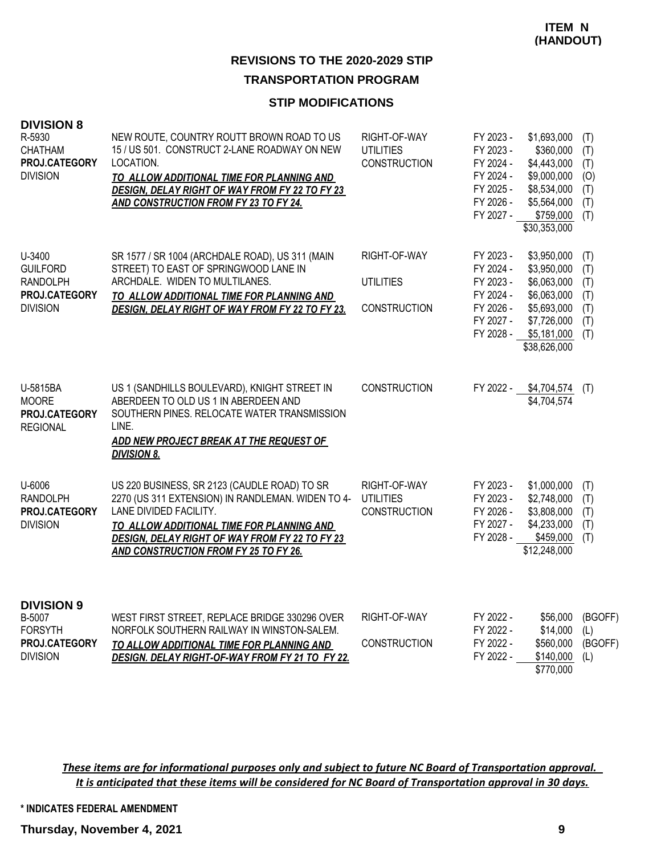#### **STIP MODIFICATIONS**

| <b>DIVISION 8</b><br>R-5930<br><b>CHATHAM</b><br>PROJ.CATEGORY<br><b>DIVISION</b> | NEW ROUTE, COUNTRY ROUTT BROWN ROAD TO US<br>15 / US 501. CONSTRUCT 2-LANE ROADWAY ON NEW<br>LOCATION.<br>TO ALLOW ADDITIONAL TIME FOR PLANNING AND<br><b>DESIGN, DELAY RIGHT OF WAY FROM FY 22 TO FY 23</b><br><b>AND CONSTRUCTION FROM FY 23 TO FY 24.</b>               | RIGHT-OF-WAY<br><b>UTILITIES</b><br><b>CONSTRUCTION</b> | FY 2023 -<br>\$1,693,000<br>FY 2023 -<br>\$360,000<br>FY 2024 -<br>\$4,443,000<br>\$9,000,000<br>FY 2024 -<br>\$8,534,000<br>FY 2025 -<br>FY 2026 -<br>\$5,564,000<br>FY 2027 -<br>\$759,000<br>\$30,353,000     | (T)<br>(T)<br>(T)<br>(O)<br>(T)<br>(T)<br>(T) |
|-----------------------------------------------------------------------------------|----------------------------------------------------------------------------------------------------------------------------------------------------------------------------------------------------------------------------------------------------------------------------|---------------------------------------------------------|------------------------------------------------------------------------------------------------------------------------------------------------------------------------------------------------------------------|-----------------------------------------------|
| U-3400<br><b>GUILFORD</b><br><b>RANDOLPH</b><br>PROJ.CATEGORY<br><b>DIVISION</b>  | SR 1577 / SR 1004 (ARCHDALE ROAD), US 311 (MAIN<br>STREET) TO EAST OF SPRINGWOOD LANE IN<br>ARCHDALE. WIDEN TO MULTILANES.<br>TO ALLOW ADDITIONAL TIME FOR PLANNING AND<br>DESIGN, DELAY RIGHT OF WAY FROM FY 22 TO FY 23.                                                 | RIGHT-OF-WAY<br><b>UTILITIES</b><br><b>CONSTRUCTION</b> | FY 2023 -<br>\$3,950,000<br>FY 2024 -<br>\$3,950,000<br>FY 2023 -<br>\$6,063,000<br>\$6,063,000<br>FY 2024 -<br>FY 2026 -<br>\$5,693,000<br>FY 2027 -<br>\$7,726,000<br>FY 2028 -<br>\$5,181,000<br>\$38,626,000 | (T)<br>(T)<br>(T)<br>(T)<br>(T)<br>(T)<br>(T) |
| U-5815BA<br><b>MOORE</b><br>PROJ.CATEGORY<br><b>REGIONAL</b>                      | US 1 (SANDHILLS BOULEVARD), KNIGHT STREET IN<br>ABERDEEN TO OLD US 1 IN ABERDEEN AND<br>SOUTHERN PINES. RELOCATE WATER TRANSMISSION<br>LINE.<br>ADD NEW PROJECT BREAK AT THE REQUEST OF<br><b>DIVISION 8.</b>                                                              | <b>CONSTRUCTION</b>                                     | FY 2022 -<br>\$4,704,574<br>\$4,704,574                                                                                                                                                                          | (T)                                           |
| U-6006<br><b>RANDOLPH</b><br>PROJ.CATEGORY<br><b>DIVISION</b>                     | US 220 BUSINESS, SR 2123 (CAUDLE ROAD) TO SR<br>2270 (US 311 EXTENSION) IN RANDLEMAN. WIDEN TO 4-<br>LANE DIVIDED FACILITY.<br>TO ALLOW ADDITIONAL TIME FOR PLANNING AND<br><b>DESIGN, DELAY RIGHT OF WAY FROM FY 22 TO FY 23</b><br>AND CONSTRUCTION FROM FY 25 TO FY 26. | RIGHT-OF-WAY<br><b>UTILITIES</b><br><b>CONSTRUCTION</b> | FY 2023 -<br>\$1,000,000<br>FY 2023 -<br>\$2,748,000<br>FY 2026 -<br>\$3,808,000<br>FY 2027 -<br>\$4,233,000<br>FY 2028 -<br>\$459,000<br>\$12,248,000                                                           | (T)<br>(T)<br>(T)<br>(T)<br>(T)               |
| <b>DIVISION 9</b><br>B-5007<br><b>FORSYTH</b><br>PROJ.CATEGORY<br><b>DIVISION</b> | WEST FIRST STREET, REPLACE BRIDGE 330296 OVER<br>NORFOLK SOUTHERN RAILWAY IN WINSTON-SALEM.<br>TO ALLOW ADDITIONAL TIME FOR PLANNING AND<br>DESIGN. DELAY RIGHT-OF-WAY FROM FY 21 TO FY 22.                                                                                | RIGHT-OF-WAY<br><b>CONSTRUCTION</b>                     | FY 2022 -<br>\$56,000<br>FY 2022 -<br>\$14,000<br>FY 2022 -<br>\$560,000<br>FY 2022 -<br>\$140,000<br>\$770,000                                                                                                  | (BGOFF)<br>(L)<br>(BGOFF)<br>(L)              |

*These items are for informational purposes only and subject to future NC Board of Transportation approval. It is anticipated that these items will be considered for NC Board of Transportation approval in 30 days.*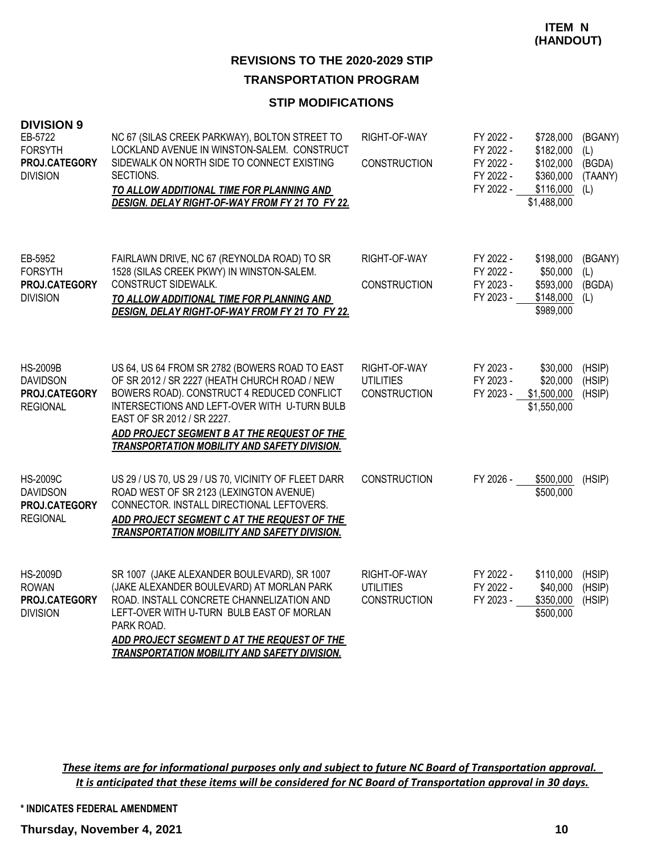#### **STIP MODIFICATIONS**

| <b>DIVISION 9</b><br>EB-5722<br><b>FORSYTH</b><br>PROJ.CATEGORY<br><b>DIVISION</b> | NC 67 (SILAS CREEK PARKWAY), BOLTON STREET TO<br>LOCKLAND AVENUE IN WINSTON-SALEM. CONSTRUCT<br>SIDEWALK ON NORTH SIDE TO CONNECT EXISTING<br>SECTIONS.<br>TO ALLOW ADDITIONAL TIME FOR PLANNING AND<br>DESIGN. DELAY RIGHT-OF-WAY FROM FY 21 TO FY 22.                                                                           | RIGHT-OF-WAY<br><b>CONSTRUCTION</b>                     | FY 2022 -<br>FY 2022 -<br>FY 2022 -<br>FY 2022 -<br>FY 2022 - | \$728,000<br>\$182,000<br>\$102,000<br>\$360,000<br>\$116,000<br>\$1,488,000 | (BGANY)<br>(L)<br>(BGDA)<br>(TAANY)<br>(L) |
|------------------------------------------------------------------------------------|-----------------------------------------------------------------------------------------------------------------------------------------------------------------------------------------------------------------------------------------------------------------------------------------------------------------------------------|---------------------------------------------------------|---------------------------------------------------------------|------------------------------------------------------------------------------|--------------------------------------------|
| EB-5952<br><b>FORSYTH</b><br>PROJ.CATEGORY<br><b>DIVISION</b>                      | FAIRLAWN DRIVE, NC 67 (REYNOLDA ROAD) TO SR<br>1528 (SILAS CREEK PKWY) IN WINSTON-SALEM.<br><b>CONSTRUCT SIDEWALK.</b><br>TO ALLOW ADDITIONAL TIME FOR PLANNING AND<br>DESIGN, DELAY RIGHT-OF-WAY FROM FY 21 TO FY 22.                                                                                                            | RIGHT-OF-WAY<br><b>CONSTRUCTION</b>                     | FY 2022 -<br>FY 2022 -<br>FY 2023 -<br>FY 2023 -              | \$198,000<br>\$50,000<br>\$593,000<br>\$148,000<br>\$989,000                 | (BGANY)<br>(L)<br>(BGDA)<br>(L)            |
| <b>HS-2009B</b><br><b>DAVIDSON</b><br>PROJ.CATEGORY<br><b>REGIONAL</b>             | US 64, US 64 FROM SR 2782 (BOWERS ROAD TO EAST<br>OF SR 2012 / SR 2227 (HEATH CHURCH ROAD / NEW<br>BOWERS ROAD). CONSTRUCT 4 REDUCED CONFLICT<br>INTERSECTIONS AND LEFT-OVER WITH U-TURN BULB<br>EAST OF SR 2012 / SR 2227.<br>ADD PROJECT SEGMENT B AT THE REQUEST OF THE<br><b>TRANSPORTATION MOBILITY AND SAFETY DIVISION.</b> | RIGHT-OF-WAY<br><b>UTILITIES</b><br><b>CONSTRUCTION</b> | FY 2023 -<br>FY 2023 -<br>FY 2023 -                           | \$30,000<br>\$20,000<br>\$1,500,000<br>\$1,550,000                           | (HSIP)<br>(HSIP)<br>(HSIP)                 |
| <b>HS-2009C</b><br><b>DAVIDSON</b><br>PROJ.CATEGORY<br><b>REGIONAL</b>             | US 29 / US 70, US 29 / US 70, VICINITY OF FLEET DARR<br>ROAD WEST OF SR 2123 (LEXINGTON AVENUE)<br>CONNECTOR. INSTALL DIRECTIONAL LEFTOVERS.<br>ADD PROJECT SEGMENT C AT THE REQUEST OF THE<br>TRANSPORTATION MOBILITY AND SAFETY DIVISION.                                                                                       | <b>CONSTRUCTION</b>                                     | FY 2026 -                                                     | \$500,000<br>\$500,000                                                       | (HSIP)                                     |
| <b>HS-2009D</b><br><b>ROWAN</b><br>PROJ.CATEGORY<br><b>DIVISION</b>                | SR 1007 (JAKE ALEXANDER BOULEVARD), SR 1007<br>(JAKE ALEXANDER BOULEVARD) AT MORLAN PARK<br>ROAD. INSTALL CONCRETE CHANNELIZATION AND<br>LEFT-OVER WITH U-TURN BULB EAST OF MORLAN<br>PARK ROAD.<br>ADD PROJECT SEGMENT D AT THE REQUEST OF THE<br><b>TRANSPORTATION MOBILITY AND SAFETY DIVISION.</b>                            | RIGHT-OF-WAY<br><b>UTILITIES</b><br><b>CONSTRUCTION</b> | FY 2022 -<br>FY 2022 -<br>FY 2023 -                           | \$110,000<br>\$40,000<br>\$350,000<br>\$500,000                              | (HSIP)<br>(HSIP)<br>(HSIP)                 |

*These items are for informational purposes only and subject to future NC Board of Transportation approval. It is anticipated that these items will be considered for NC Board of Transportation approval in 30 days.*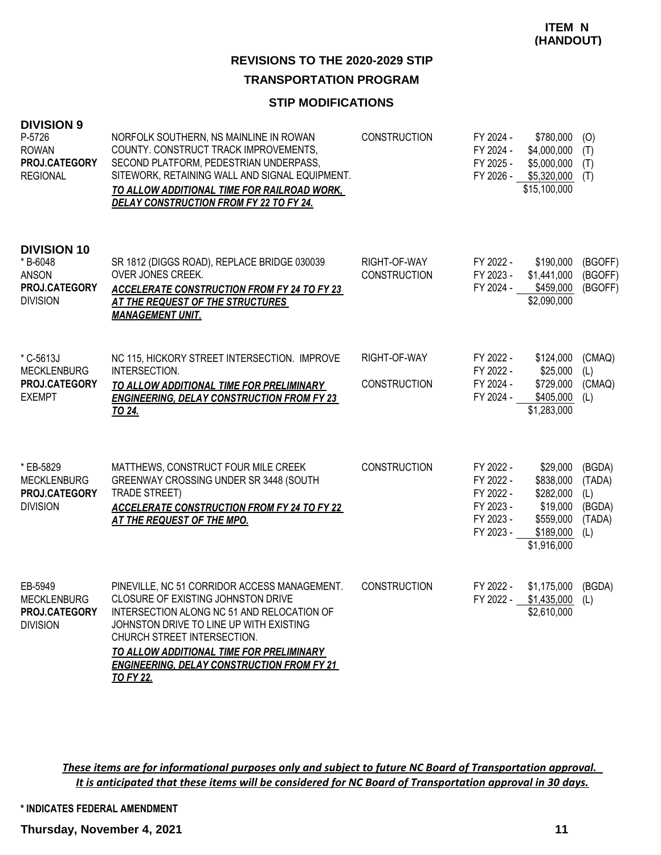#### **STIP MODIFICATIONS**

| <b>DIVISION 9</b><br>P-5726<br><b>ROWAN</b><br>PROJ.CATEGORY<br><b>REGIONAL</b> | NORFOLK SOUTHERN, NS MAINLINE IN ROWAN<br>COUNTY. CONSTRUCT TRACK IMPROVEMENTS,<br>SECOND PLATFORM, PEDESTRIAN UNDERPASS,<br>SITEWORK, RETAINING WALL AND SIGNAL EQUIPMENT.<br>TO ALLOW ADDITIONAL TIME FOR RAILROAD WORK.<br><b>DELAY CONSTRUCTION FROM FY 22 TO FY 24.</b>                                                    | <b>CONSTRUCTION</b>                 | FY 2024 -<br>FY 2024 -<br>FY 2025 -                                        | \$780,000<br>\$4,000,000<br>\$5,000,000<br>FY 2026 - \$5,320,000 (T)<br>\$15,100,000         | (O)<br>(T)<br>(T)                           |
|---------------------------------------------------------------------------------|---------------------------------------------------------------------------------------------------------------------------------------------------------------------------------------------------------------------------------------------------------------------------------------------------------------------------------|-------------------------------------|----------------------------------------------------------------------------|----------------------------------------------------------------------------------------------|---------------------------------------------|
| <b>DIVISION 10</b><br>* B-6048<br>ANSON<br>PROJ.CATEGORY<br><b>DIVISION</b>     | SR 1812 (DIGGS ROAD), REPLACE BRIDGE 030039<br><b>OVER JONES CREEK.</b><br>ACCELERATE CONSTRUCTION FROM FY 24 TO FY 23<br>AT THE REQUEST OF THE STRUCTURES<br><b>MANAGEMENT UNIT.</b>                                                                                                                                           | RIGHT-OF-WAY<br><b>CONSTRUCTION</b> | FY 2022 -<br>FY 2023 -<br>FY 2024 -                                        | \$190,000<br>\$1,441,000<br>\$459,000<br>\$2,090,000                                         | (BGOFF)<br>(BGOFF)<br>(BGOFF)               |
| * C-5613J<br><b>MECKLENBURG</b><br>PROJ.CATEGORY<br><b>EXEMPT</b>               | NC 115, HICKORY STREET INTERSECTION. IMPROVE<br>INTERSECTION.<br>TO ALLOW ADDITIONAL TIME FOR PRELIMINARY<br><b>ENGINEERING, DELAY CONSTRUCTION FROM FY 23</b><br>TO 24.                                                                                                                                                        | RIGHT-OF-WAY<br><b>CONSTRUCTION</b> | FY 2022 -<br>FY 2022 -<br>FY 2024 -<br>FY 2024 -                           | \$124,000<br>\$25,000<br>\$729,000<br>\$405,000<br>\$1,283,000                               | (CMAQ)<br>(L)<br>(CMAQ)<br>(L)              |
| * EB-5829<br><b>MECKLENBURG</b><br>PROJ.CATEGORY<br><b>DIVISION</b>             | MATTHEWS, CONSTRUCT FOUR MILE CREEK<br>GREENWAY CROSSING UNDER SR 3448 (SOUTH<br>TRADE STREET)<br><b>ACCELERATE CONSTRUCTION FROM FY 24 TO FY 22</b><br><b>AT THE REQUEST OF THE MPO.</b>                                                                                                                                       | <b>CONSTRUCTION</b>                 | FY 2022 -<br>FY 2022 -<br>FY 2022 -<br>FY 2023 -<br>FY 2023 -<br>FY 2023 - | \$29,000<br>\$838,000<br>\$282,000<br>\$19,000<br>\$559,000<br>$$189,000$ (L)<br>\$1,916,000 | (BGDA)<br>(TADA)<br>(L)<br>(BGDA)<br>(TADA) |
| EB-5949<br><b>MECKLENBURG</b><br>PROJ.CATEGORY<br><b>DIVISION</b>               | PINEVILLE, NC 51 CORRIDOR ACCESS MANAGEMENT.<br>CLOSURE OF EXISTING JOHNSTON DRIVE<br>INTERSECTION ALONG NC 51 AND RELOCATION OF<br>JOHNSTON DRIVE TO LINE UP WITH EXISTING<br>CHURCH STREET INTERSECTION.<br>TO ALLOW ADDITIONAL TIME FOR PRELIMINARY<br><b>ENGINEERING, DELAY CONSTRUCTION FROM FY 21</b><br><b>TO FY 22.</b> | <b>CONSTRUCTION</b>                 | FY 2022 -<br>FY 2022 -                                                     | \$1,175,000<br>\$1,435,000<br>\$2,610,000                                                    | (BGDA)<br>(L)                               |

*These items are for informational purposes only and subject to future NC Board of Transportation approval. It is anticipated that these items will be considered for NC Board of Transportation approval in 30 days.*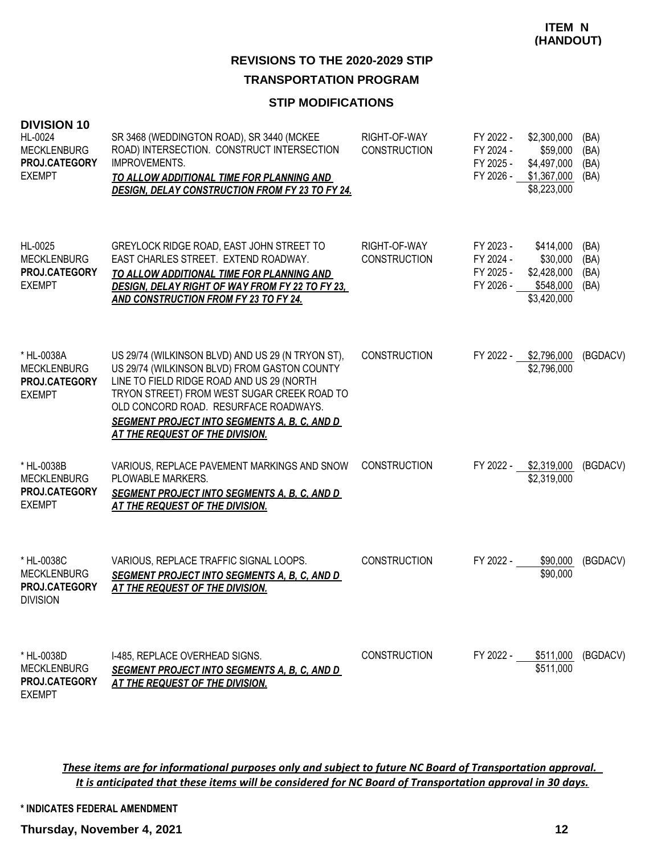#### **STIP MODIFICATIONS**

| <b>DIVISION 10</b><br>HL-0024<br><b>MECKLENBURG</b><br>PROJ.CATEGORY<br><b>EXEMPT</b> | SR 3468 (WEDDINGTON ROAD), SR 3440 (MCKEE<br>ROAD) INTERSECTION. CONSTRUCT INTERSECTION<br><b>IMPROVEMENTS.</b><br>TO ALLOW ADDITIONAL TIME FOR PLANNING AND<br><b>DESIGN, DELAY CONSTRUCTION FROM FY 23 TO FY 24.</b>                                                                                                                  | RIGHT-OF-WAY<br><b>CONSTRUCTION</b> | FY 2022 -<br>FY 2024 -<br>FY 2025 -<br>FY 2026 - | \$2,300,000<br>\$59,000<br>\$4,497,000<br>\$1,367,000<br>\$8,223,000 | (BA)<br>(BA)<br>(BA)<br>(BA) |
|---------------------------------------------------------------------------------------|-----------------------------------------------------------------------------------------------------------------------------------------------------------------------------------------------------------------------------------------------------------------------------------------------------------------------------------------|-------------------------------------|--------------------------------------------------|----------------------------------------------------------------------|------------------------------|
| HL-0025<br><b>MECKLENBURG</b><br>PROJ.CATEGORY<br><b>EXEMPT</b>                       | GREYLOCK RIDGE ROAD, EAST JOHN STREET TO<br>EAST CHARLES STREET. EXTEND ROADWAY.<br>TO ALLOW ADDITIONAL TIME FOR PLANNING AND<br><b>DESIGN, DELAY RIGHT OF WAY FROM FY 22 TO FY 23.</b><br><u>AND CONSTRUCTION FROM FY 23 TO FY 24.</u>                                                                                                 | RIGHT-OF-WAY<br><b>CONSTRUCTION</b> | FY 2023 -<br>FY 2024 -<br>FY 2025 -<br>FY 2026 - | \$414,000<br>\$30,000<br>\$2,428,000<br>\$548,000<br>\$3,420,000     | (BA)<br>(BA)<br>(BA)<br>(BA) |
| * HL-0038A<br><b>MECKLENBURG</b><br>PROJ.CATEGORY<br><b>EXEMPT</b>                    | US 29/74 (WILKINSON BLVD) AND US 29 (N TRYON ST),<br>US 29/74 (WILKINSON BLVD) FROM GASTON COUNTY<br>LINE TO FIELD RIDGE ROAD AND US 29 (NORTH<br>TRYON STREET) FROM WEST SUGAR CREEK ROAD TO<br>OLD CONCORD ROAD. RESURFACE ROADWAYS.<br><b>SEGMENT PROJECT INTO SEGMENTS A, B, C, AND D</b><br><b>AT THE REQUEST OF THE DIVISION.</b> | <b>CONSTRUCTION</b>                 | FY 2022 -                                        | \$2,796,000<br>\$2,796,000                                           | (BGDACV)                     |
| * HL-0038B<br><b>MECKLENBURG</b><br>PROJ.CATEGORY<br><b>EXEMPT</b>                    | VARIOUS, REPLACE PAVEMENT MARKINGS AND SNOW<br>PLOWABLE MARKERS.<br><b>SEGMENT PROJECT INTO SEGMENTS A, B, C, AND D</b><br><b>AT THE REQUEST OF THE DIVISION.</b>                                                                                                                                                                       | <b>CONSTRUCTION</b>                 | FY 2022 -                                        | \$2,319,000<br>\$2,319,000                                           | (BGDACV)                     |
| * HL-0038C<br><b>MECKLENBURG</b><br>PROJ.CATEGORY<br><b>DIVISION</b>                  | VARIOUS, REPLACE TRAFFIC SIGNAL LOOPS.<br><b>SEGMENT PROJECT INTO SEGMENTS A, B, C, AND D</b><br>AT THE REQUEST OF THE DIVISION.                                                                                                                                                                                                        | <b>CONSTRUCTION</b>                 | FY 2022 -                                        | \$90,000<br>\$90,000                                                 | (BGDACV)                     |
| * HL-0038D<br><b>MECKLENBURG</b><br>PROJ.CATEGORY<br>EXEMPT                           | I-485, REPLACE OVERHEAD SIGNS.<br>SEGMENT PROJECT INTO SEGMENTS A, B, C, AND D<br><b>AT THE REQUEST OF THE DIVISION.</b>                                                                                                                                                                                                                | <b>CONSTRUCTION</b>                 | FY 2022 -                                        | \$511,000<br>\$511,000                                               | (BGDACV)                     |

*These items are for informational purposes only and subject to future NC Board of Transportation approval. It is anticipated that these items will be considered for NC Board of Transportation approval in 30 days.*

**\* INDICATES FEDERAL AMENDMENT**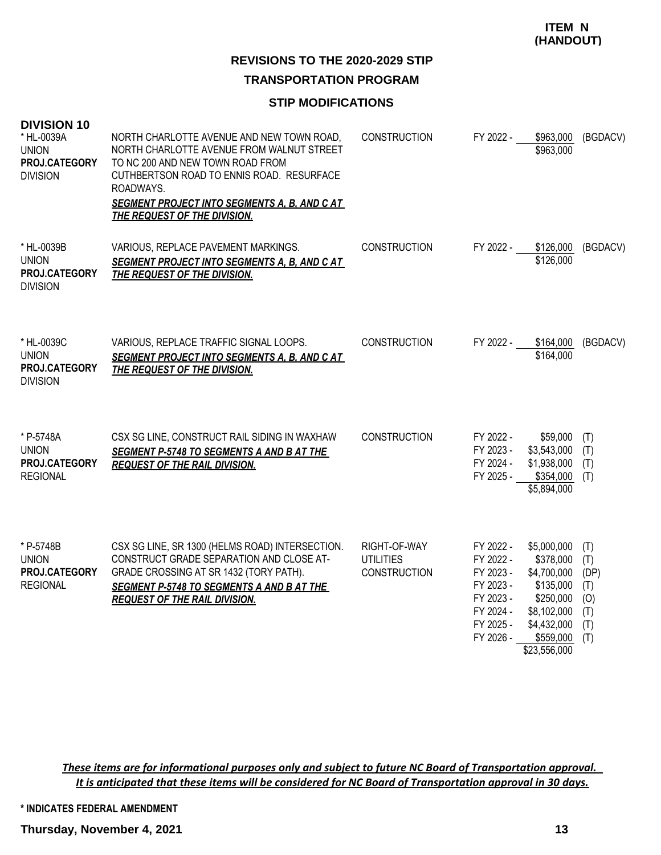### **REVISIONS TO THE 2020-2029 STIP TRANSPORTATION PROGRAM**

#### **STIP MODIFICATIONS**

| <b>DIVISION 10</b><br>* HL-0039A<br><b>UNION</b><br>PROJ.CATEGORY<br><b>DIVISION</b> | NORTH CHARLOTTE AVENUE AND NEW TOWN ROAD,<br>NORTH CHARLOTTE AVENUE FROM WALNUT STREET<br>TO NC 200 AND NEW TOWN ROAD FROM<br>CUTHBERTSON ROAD TO ENNIS ROAD. RESURFACE<br>ROADWAYS.<br><b>SEGMENT PROJECT INTO SEGMENTS A. B. AND C AT</b><br>THE REQUEST OF THE DIVISION. | <b>CONSTRUCTION</b>                                     | FY 2022 -                                                                                            | \$963,000<br>\$963,000                                                                                                       | (BGDACV)                                              |
|--------------------------------------------------------------------------------------|-----------------------------------------------------------------------------------------------------------------------------------------------------------------------------------------------------------------------------------------------------------------------------|---------------------------------------------------------|------------------------------------------------------------------------------------------------------|------------------------------------------------------------------------------------------------------------------------------|-------------------------------------------------------|
| * HL-0039B<br><b>UNION</b><br>PROJ.CATEGORY<br><b>DIVISION</b>                       | VARIOUS, REPLACE PAVEMENT MARKINGS.<br><b>SEGMENT PROJECT INTO SEGMENTS A. B. AND C AT</b><br>THE REQUEST OF THE DIVISION.                                                                                                                                                  | <b>CONSTRUCTION</b>                                     | FY 2022 -                                                                                            | \$126,000<br>\$126,000                                                                                                       | (BGDACV)                                              |
| * HL-0039C<br><b>UNION</b><br><b>PROJ.CATEGORY</b><br><b>DIVISION</b>                | VARIOUS, REPLACE TRAFFIC SIGNAL LOOPS.<br>SEGMENT PROJECT INTO SEGMENTS A, B, AND C AT<br><b>THE REQUEST OF THE DIVISION.</b>                                                                                                                                               | <b>CONSTRUCTION</b>                                     | FY 2022 -                                                                                            | \$164,000<br>\$164,000                                                                                                       | (BGDACV)                                              |
| * P-5748A<br><b>UNION</b><br>PROJ.CATEGORY<br><b>REGIONAL</b>                        | CSX SG LINE, CONSTRUCT RAIL SIDING IN WAXHAW<br>SEGMENT P-5748 TO SEGMENTS A AND B AT THE<br><b>REQUEST OF THE RAIL DIVISION.</b>                                                                                                                                           | <b>CONSTRUCTION</b>                                     | FY 2022 -<br>FY 2023 -<br>FY 2024 -<br>FY 2025 -                                                     | \$59,000<br>\$3,543,000<br>\$1,938,000<br>\$354,000<br>\$5,894,000                                                           | (T)<br>(T)<br>(T)<br>(T)                              |
| * P-5748B<br><b>UNION</b><br>PROJ.CATEGORY<br><b>REGIONAL</b>                        | CSX SG LINE, SR 1300 (HELMS ROAD) INTERSECTION.<br>CONSTRUCT GRADE SEPARATION AND CLOSE AT-<br>GRADE CROSSING AT SR 1432 (TORY PATH).<br>SEGMENT P-5748 TO SEGMENTS A AND B AT THE<br><b>REQUEST OF THE RAIL DIVISION.</b>                                                  | RIGHT-OF-WAY<br><b>UTILITIES</b><br><b>CONSTRUCTION</b> | FY 2022 -<br>FY 2022 -<br>FY 2023 -<br>FY 2023 -<br>FY 2023 -<br>FY 2024 -<br>FY 2025 -<br>FY 2026 - | \$5,000,000<br>\$378,000<br>\$4,700,000<br>\$135,000<br>\$250,000<br>\$8,102,000<br>\$4,432,000<br>\$559,000<br>\$23,556,000 | (T)<br>(T)<br>(DP)<br>(T)<br>(O)<br>(T)<br>(T)<br>(T) |

*These items are for informational purposes only and subject to future NC Board of Transportation approval. It is anticipated that these items will be considered for NC Board of Transportation approval in 30 days.*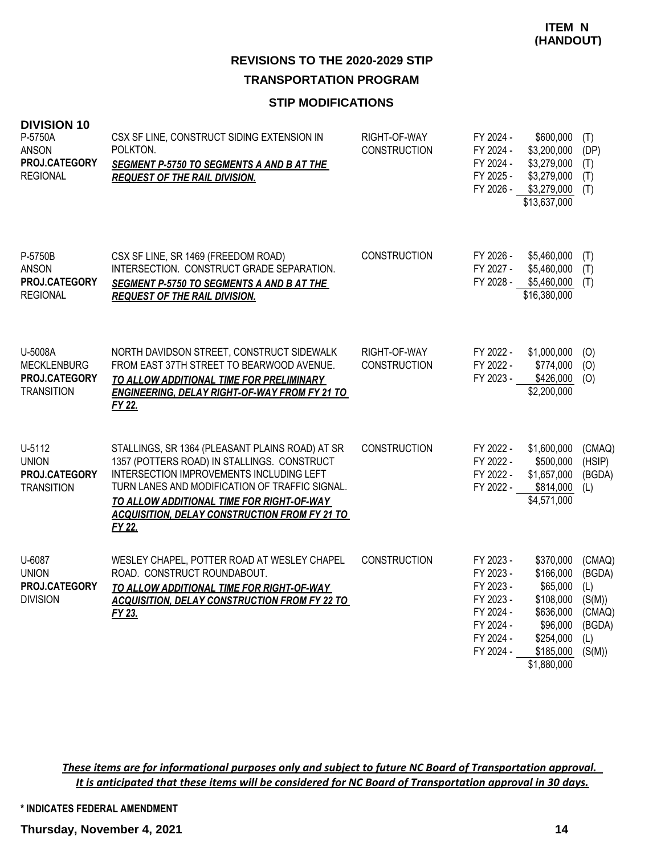### **STIP MODIFICATIONS**

| <b>DIVISION 10</b><br>P-5750A<br><b>ANSON</b><br>PROJ.CATEGORY<br><b>REGIONAL</b> | CSX SF LINE, CONSTRUCT SIDING EXTENSION IN<br>POLKTON.<br>SEGMENT P-5750 TO SEGMENTS A AND B AT THE<br><b>REQUEST OF THE RAIL DIVISION.</b>                                                                                                                                                                 | RIGHT-OF-WAY<br><b>CONSTRUCTION</b> | FY 2024 -<br>FY 2024 -<br>FY 2024 -<br>FY 2025 -<br>FY 2026 -                                        | \$600,000<br>\$3,200,000<br>\$3,279,000<br>\$3,279,000<br>\$3,279,000<br>\$13,637,000                             | (T)<br>(DP)<br>(T)<br>(T)<br>(T)                                       |
|-----------------------------------------------------------------------------------|-------------------------------------------------------------------------------------------------------------------------------------------------------------------------------------------------------------------------------------------------------------------------------------------------------------|-------------------------------------|------------------------------------------------------------------------------------------------------|-------------------------------------------------------------------------------------------------------------------|------------------------------------------------------------------------|
| P-5750B<br><b>ANSON</b><br>PROJ.CATEGORY<br><b>REGIONAL</b>                       | CSX SF LINE, SR 1469 (FREEDOM ROAD)<br>INTERSECTION. CONSTRUCT GRADE SEPARATION.<br>SEGMENT P-5750 TO SEGMENTS A AND B AT THE<br><b>REQUEST OF THE RAIL DIVISION.</b>                                                                                                                                       | <b>CONSTRUCTION</b>                 | FY 2026 -<br>FY 2027 -<br>FY 2028 -                                                                  | \$5,460,000<br>\$5,460,000<br>\$5,460,000<br>\$16,380,000                                                         | (T)<br>(T)<br>(T)                                                      |
| U-5008A<br><b>MECKLENBURG</b><br>PROJ.CATEGORY<br><b>TRANSITION</b>               | NORTH DAVIDSON STREET, CONSTRUCT SIDEWALK<br>FROM EAST 37TH STREET TO BEARWOOD AVENUE.<br>TO ALLOW ADDITIONAL TIME FOR PRELIMINARY<br><b>ENGINEERING, DELAY RIGHT-OF-WAY FROM FY 21 TO</b><br>FY 22.                                                                                                        | RIGHT-OF-WAY<br><b>CONSTRUCTION</b> | FY 2022 -<br>FY 2022 -<br>FY 2023 -                                                                  | \$1,000,000<br>\$774,000<br>\$426,000<br>\$2,200,000                                                              | (O)<br>(O)<br>(O)                                                      |
| U-5112<br><b>UNION</b><br>PROJ.CATEGORY<br><b>TRANSITION</b>                      | STALLINGS, SR 1364 (PLEASANT PLAINS ROAD) AT SR<br>1357 (POTTERS ROAD) IN STALLINGS. CONSTRUCT<br>INTERSECTION IMPROVEMENTS INCLUDING LEFT<br>TURN LANES AND MODIFICATION OF TRAFFIC SIGNAL.<br>TO ALLOW ADDITIONAL TIME FOR RIGHT-OF-WAY<br><b>ACQUISITION, DELAY CONSTRUCTION FROM FY 21 TO</b><br>FY 22. | <b>CONSTRUCTION</b>                 | FY 2022 -<br>FY 2022 -<br>FY 2022 -<br>FY 2022 -                                                     | \$1,600,000<br>\$500,000<br>\$1,657,000<br>\$814,000<br>\$4,571,000                                               | (CMAQ)<br>(HSIP)<br>(BGDA)<br>(L)                                      |
| U-6087<br><b>UNION</b><br>PROJ.CATEGORY<br><b>DIVISION</b>                        | WESLEY CHAPEL, POTTER ROAD AT WESLEY CHAPEL<br>ROAD. CONSTRUCT ROUNDABOUT.<br>TO ALLOW ADDITIONAL TIME FOR RIGHT-OF-WAY<br><b>ACQUISITION, DELAY CONSTRUCTION FROM FY 22 TO</b><br>FY 23.                                                                                                                   | <b>CONSTRUCTION</b>                 | FY 2023 -<br>FY 2023 -<br>FY 2023 -<br>FY 2023 -<br>FY 2024 -<br>FY 2024 -<br>FY 2024 -<br>FY 2024 - | \$370,000<br>\$166,000<br>\$65,000<br>\$108,000<br>\$636,000<br>\$96,000<br>\$254,000<br>\$185,000<br>\$1,880,000 | (CMAQ)<br>(BGDA)<br>(L)<br>(S(M))<br>(CMAQ)<br>(BGDA)<br>(L)<br>(S(M)) |

*These items are for informational purposes only and subject to future NC Board of Transportation approval. It is anticipated that these items will be considered for NC Board of Transportation approval in 30 days.*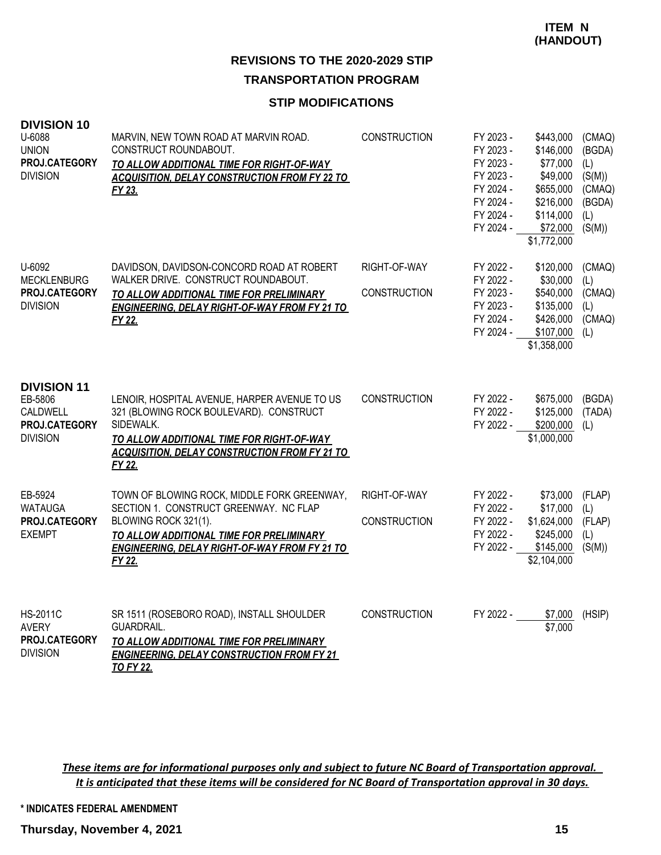#### **STIP MODIFICATIONS**

| <b>DIVISION 10</b><br>U-6088<br><b>UNION</b><br>PROJ.CATEGORY<br><b>DIVISION</b> | MARVIN, NEW TOWN ROAD AT MARVIN ROAD.<br>CONSTRUCT ROUNDABOUT.<br>TO ALLOW ADDITIONAL TIME FOR RIGHT-OF-WAY<br><b>ACQUISITION, DELAY CONSTRUCTION FROM FY 22 TO</b><br>FY 23.                                               | <b>CONSTRUCTION</b>                 | FY 2023 -<br>FY 2023 -<br>FY 2023 -<br>FY 2023 -<br>FY 2024 -<br>FY 2024 -<br>FY 2024 -<br>FY 2024 - | \$443,000<br>\$146,000<br>\$77,000<br>\$49,000<br>\$655,000<br>\$216,000<br>\$114,000<br>\$72,000<br>\$1,772,000 | (CMAQ)<br>(BGDA)<br>(L)<br>(S(M))<br>(CMAQ)<br>(BGDA)<br>(L)<br>(S(M)) |
|----------------------------------------------------------------------------------|-----------------------------------------------------------------------------------------------------------------------------------------------------------------------------------------------------------------------------|-------------------------------------|------------------------------------------------------------------------------------------------------|------------------------------------------------------------------------------------------------------------------|------------------------------------------------------------------------|
| U-6092<br><b>MECKLENBURG</b><br>PROJ.CATEGORY<br><b>DIVISION</b>                 | DAVIDSON, DAVIDSON-CONCORD ROAD AT ROBERT<br>WALKER DRIVE. CONSTRUCT ROUNDABOUT.<br>TO ALLOW ADDITIONAL TIME FOR PRELIMINARY<br><b>ENGINEERING, DELAY RIGHT-OF-WAY FROM FY 21 TO</b><br>FY 22.                              | RIGHT-OF-WAY<br><b>CONSTRUCTION</b> | FY 2022 -<br>FY 2022 -<br>FY 2023 -<br>FY 2023 -<br>FY 2024 -<br>FY 2024 -                           | \$120,000<br>\$30,000<br>\$540,000<br>\$135,000<br>\$426,000<br>\$107,000<br>\$1,358,000                         | (CMAQ)<br>(L)<br>(CMAQ)<br>(L)<br>(CMAQ)<br>(L)                        |
| <b>DIVISION 11</b><br>EB-5806<br>CALDWELL<br>PROJ.CATEGORY<br><b>DIVISION</b>    | LENOIR, HOSPITAL AVENUE, HARPER AVENUE TO US<br>321 (BLOWING ROCK BOULEVARD). CONSTRUCT<br>SIDEWALK.<br>TO ALLOW ADDITIONAL TIME FOR RIGHT-OF-WAY<br><b>ACQUISITION, DELAY CONSTRUCTION FROM FY 21 TO</b><br>FY 22.         | <b>CONSTRUCTION</b>                 | FY 2022 -<br>FY 2022 -<br>FY 2022 -                                                                  | \$675,000<br>\$125,000<br>\$200,000<br>\$1,000,000                                                               | (BGDA)<br>(TADA)<br>(L)                                                |
| EB-5924<br><b>WATAUGA</b><br>PROJ.CATEGORY<br><b>EXEMPT</b>                      | TOWN OF BLOWING ROCK, MIDDLE FORK GREENWAY,<br>SECTION 1. CONSTRUCT GREENWAY. NC FLAP<br>BLOWING ROCK 321(1).<br>TO ALLOW ADDITIONAL TIME FOR PRELIMINARY<br><b>ENGINEERING, DELAY RIGHT-OF-WAY FROM FY 21 TO</b><br>FY 22. | RIGHT-OF-WAY<br><b>CONSTRUCTION</b> | FY 2022 -<br>FY 2022 -<br>FY 2022 -<br>FY 2022 -<br>FY 2022 -                                        | \$73,000<br>\$17,000<br>\$1,624,000<br>\$245,000<br>\$145,000<br>\$2,104,000                                     | (FLAP)<br>(L)<br>(FLAP)<br>(L)<br>(S(M))                               |
| <b>HS-2011C</b><br><b>AVERY</b><br>PROJ.CATEGORY<br><b>DIVISION</b>              | SR 1511 (ROSEBORO ROAD), INSTALL SHOULDER<br>GUARDRAIL.<br>TO ALLOW ADDITIONAL TIME FOR PRELIMINARY<br><b>ENGINEERING, DELAY CONSTRUCTION FROM FY 21</b><br><b>TO FY 22.</b>                                                | <b>CONSTRUCTION</b>                 | FY 2022 -                                                                                            | \$7,000<br>\$7,000                                                                                               | (HSIP)                                                                 |

*These items are for informational purposes only and subject to future NC Board of Transportation approval. It is anticipated that these items will be considered for NC Board of Transportation approval in 30 days.*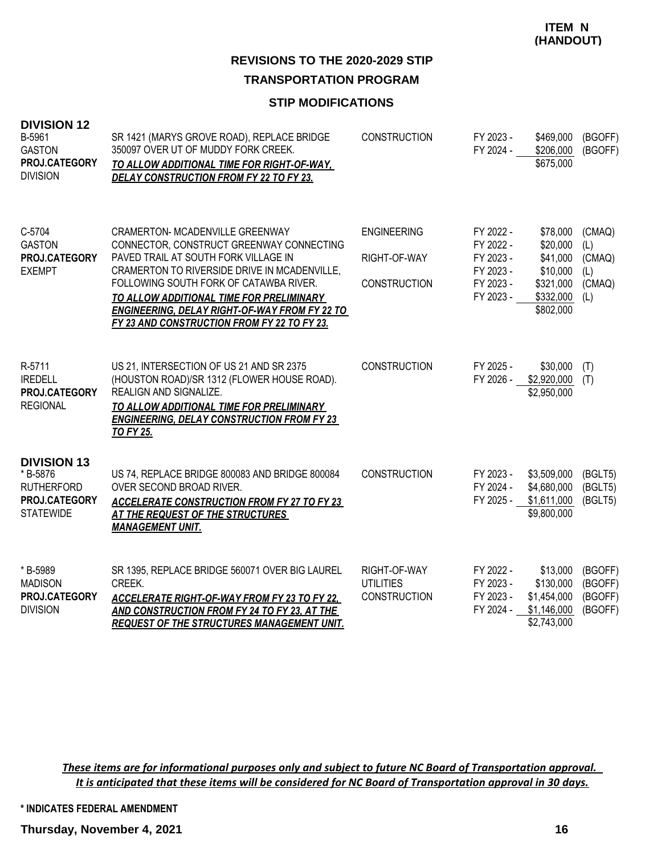#### **STIP MODIFICATIONS**

| <b>DIVISION 12</b><br>B-5961<br><b>GASTON</b><br>PROJ.CATEGORY<br><b>DIVISION</b>       | SR 1421 (MARYS GROVE ROAD), REPLACE BRIDGE<br>350097 OVER UT OF MUDDY FORK CREEK.<br>TO ALLOW ADDITIONAL TIME FOR RIGHT-OF-WAY.<br><b>DELAY CONSTRUCTION FROM FY 22 TO FY 23.</b>                                                                                                                                                                                | <b>CONSTRUCTION</b>                                       | FY 2023 -<br>FY 2024 -                                                     | \$469,000<br>\$206,000<br>\$675,000                                                 | (BGOFF)<br>(BGOFF)                              |
|-----------------------------------------------------------------------------------------|------------------------------------------------------------------------------------------------------------------------------------------------------------------------------------------------------------------------------------------------------------------------------------------------------------------------------------------------------------------|-----------------------------------------------------------|----------------------------------------------------------------------------|-------------------------------------------------------------------------------------|-------------------------------------------------|
| C-5704<br><b>GASTON</b><br>PROJ.CATEGORY<br><b>EXEMPT</b>                               | CRAMERTON- MCADENVILLE GREENWAY<br>CONNECTOR, CONSTRUCT GREENWAY CONNECTING<br>PAVED TRAIL AT SOUTH FORK VILLAGE IN<br>CRAMERTON TO RIVERSIDE DRIVE IN MCADENVILLE,<br>FOLLOWING SOUTH FORK OF CATAWBA RIVER.<br>TO ALLOW ADDITIONAL TIME FOR PRELIMINARY<br><b>ENGINEERING, DELAY RIGHT-OF-WAY FROM FY 22 TO</b><br>FY 23 AND CONSTRUCTION FROM FY 22 TO FY 23. | <b>ENGINEERING</b><br>RIGHT-OF-WAY<br><b>CONSTRUCTION</b> | FY 2022 -<br>FY 2022 -<br>FY 2023 -<br>FY 2023 -<br>FY 2023 -<br>FY 2023 - | \$78,000<br>\$20,000<br>\$41,000<br>\$10,000<br>\$321,000<br>\$332,000<br>\$802,000 | (CMAQ)<br>(L)<br>(CMAQ)<br>(L)<br>(CMAQ)<br>(L) |
| R-5711<br><b>IREDELL</b><br>PROJ.CATEGORY<br><b>REGIONAL</b>                            | US 21, INTERSECTION OF US 21 AND SR 2375<br>(HOUSTON ROAD)/SR 1312 (FLOWER HOUSE ROAD).<br><b>REALIGN AND SIGNALIZE.</b><br>TO ALLOW ADDITIONAL TIME FOR PRELIMINARY<br><b>ENGINEERING, DELAY CONSTRUCTION FROM FY 23</b><br><b>TO FY 25.</b>                                                                                                                    | <b>CONSTRUCTION</b>                                       | FY 2025 -                                                                  | \$30,000<br>FY 2026 - \$2,920,000<br>\$2,950,000                                    | (T)<br>(T)                                      |
| <b>DIVISION 13</b><br>*B-5876<br><b>RUTHERFORD</b><br>PROJ.CATEGORY<br><b>STATEWIDE</b> | US 74, REPLACE BRIDGE 800083 AND BRIDGE 800084<br>OVER SECOND BROAD RIVER.<br><b>ACCELERATE CONSTRUCTION FROM FY 27 TO FY 23</b><br>AT THE REQUEST OF THE STRUCTURES<br><b>MANAGEMENT UNIT.</b>                                                                                                                                                                  | <b>CONSTRUCTION</b>                                       | FY 2023 -<br>FY 2024 -<br>FY 2025 -                                        | \$3,509,000<br>\$4,680,000<br>\$1,611,000<br>\$9,800,000                            | (BGLT5)<br>(BGLT5)<br>(BGLT5)                   |
| *B-5989<br><b>MADISON</b><br>PROJ.CATEGORY<br><b>DIVISION</b>                           | SR 1395, REPLACE BRIDGE 560071 OVER BIG LAUREL<br>CREEK.<br><b>ACCELERATE RIGHT-OF-WAY FROM FY 23 TO FY 22.</b><br>AND CONSTRUCTION FROM FY 24 TO FY 23, AT THE<br><b>REQUEST OF THE STRUCTURES MANAGEMENT UNIT.</b>                                                                                                                                             | RIGHT-OF-WAY<br><b>UTILITIES</b><br><b>CONSTRUCTION</b>   | FY 2022 -<br>FY 2023 -<br>FY 2023 -<br>FY 2024 -                           | \$13,000<br>\$130,000<br>\$1,454,000<br>\$1,146,000<br>\$2,743,000                  | (BGOFF)<br>(BGOFF)<br>(BGOFF)<br>(BGOFF)        |

*These items are for informational purposes only and subject to future NC Board of Transportation approval. It is anticipated that these items will be considered for NC Board of Transportation approval in 30 days.*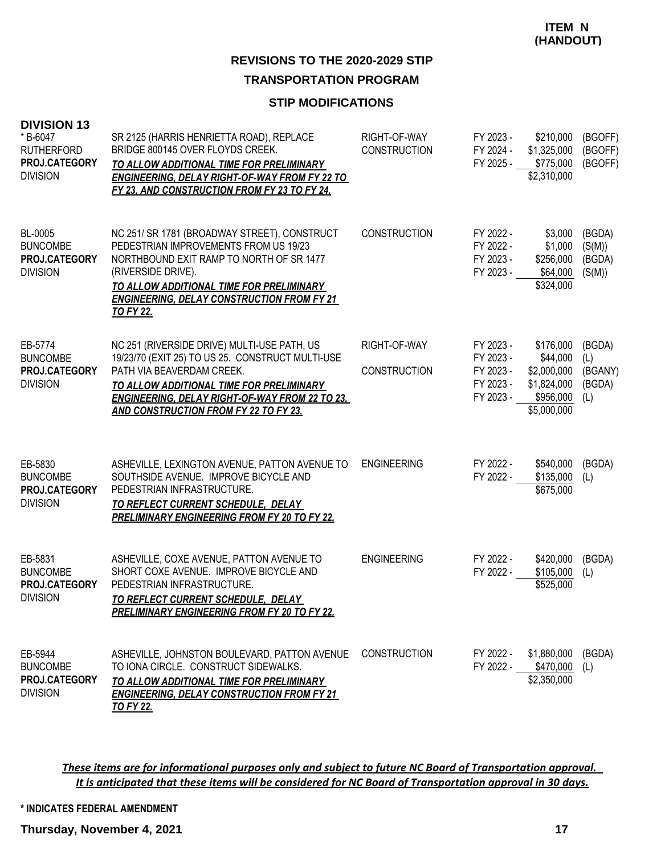### **STIP MODIFICATIONS**

| <b>DIVISION 13</b><br>*B-6047<br><b>RUTHERFORD</b><br>PROJ.CATEGORY<br><b>DIVISION</b> | SR 2125 (HARRIS HENRIETTA ROAD), REPLACE<br>BRIDGE 800145 OVER FLOYDS CREEK.<br>TO ALLOW ADDITIONAL TIME FOR PRELIMINARY<br><b>ENGINEERING, DELAY RIGHT-OF-WAY FROM FY 22 TO</b><br>FY 23, AND CONSTRUCTION FROM FY 23 TO FY 24.                                             | RIGHT-OF-WAY<br><b>CONSTRUCTION</b> | FY 2023 -<br>FY 2024 -<br>FY 2025 -                           | \$210,000<br>\$1,325,000<br>\$775,000<br>\$2,310,000                            | (BGOFF)<br>(BGOFF)<br>(BGOFF)             |
|----------------------------------------------------------------------------------------|------------------------------------------------------------------------------------------------------------------------------------------------------------------------------------------------------------------------------------------------------------------------------|-------------------------------------|---------------------------------------------------------------|---------------------------------------------------------------------------------|-------------------------------------------|
| BL-0005<br><b>BUNCOMBE</b><br><b>PROJ.CATEGORY</b><br><b>DIVISION</b>                  | NC 251/ SR 1781 (BROADWAY STREET), CONSTRUCT<br>PEDESTRIAN IMPROVEMENTS FROM US 19/23<br>NORTHBOUND EXIT RAMP TO NORTH OF SR 1477<br>(RIVERSIDE DRIVE).<br>TO ALLOW ADDITIONAL TIME FOR PRELIMINARY<br><b>ENGINEERING, DELAY CONSTRUCTION FROM FY 21</b><br><b>TO FY 22.</b> | <b>CONSTRUCTION</b>                 | FY 2022 -<br>FY 2022 -<br>FY 2023 -<br>FY 2023 -              | \$3,000<br>\$1,000<br>\$256,000<br>\$64,000<br>\$324,000                        | (BGDA)<br>(S(M))<br>(BGDA)<br>(S(M))      |
| EB-5774<br><b>BUNCOMBE</b><br>PROJ.CATEGORY<br><b>DIVISION</b>                         | NC 251 (RIVERSIDE DRIVE) MULTI-USE PATH, US<br>19/23/70 (EXIT 25) TO US 25. CONSTRUCT MULTI-USE<br>PATH VIA BEAVERDAM CREEK.<br>TO ALLOW ADDITIONAL TIME FOR PRELIMINARY<br><b>ENGINEERING, DELAY RIGHT-OF-WAY FROM 22 TO 23,</b><br>AND CONSTRUCTION FROM FY 22 TO FY 23.   | RIGHT-OF-WAY<br><b>CONSTRUCTION</b> | FY 2023 -<br>FY 2023 -<br>FY 2023 -<br>FY 2023 -<br>FY 2023 - | \$176,000<br>\$44,000<br>\$2,000,000<br>\$1,824,000<br>\$956,000<br>\$5,000,000 | (BGDA)<br>(L)<br>(BGANY)<br>(BGDA)<br>(L) |
| EB-5830<br><b>BUNCOMBE</b><br>PROJ.CATEGORY<br><b>DIVISION</b>                         | ASHEVILLE, LEXINGTON AVENUE, PATTON AVENUE TO<br>SOUTHSIDE AVENUE. IMPROVE BICYCLE AND<br>PEDESTRIAN INFRASTRUCTURE.<br>TO REFLECT CURRENT SCHEDULE, DELAY<br><b>PRELIMINARY ENGINEERING FROM FY 20 TO FY 22.</b>                                                            | <b>ENGINEERING</b>                  | FY 2022 -<br>FY 2022 -                                        | \$540,000<br>\$135,000<br>\$675,000                                             | (BGDA)<br>(L)                             |
| EB-5831<br><b>BUNCOMBE</b><br>PROJ.CATEGORY<br><b>DIVISION</b>                         | ASHEVILLE, COXE AVENUE, PATTON AVENUE TO<br>SHORT COXE AVENUE. IMPROVE BICYCLE AND<br>PEDESTRIAN INFRASTRUCTURE.<br>TO REFLECT CURRENT SCHEDULE, DELAY<br><b>PRELIMINARY ENGINEERING FROM FY 20 TO FY 22.</b>                                                                | <b>ENGINEERING</b>                  | FY 2022 -<br>FY 2022 -                                        | \$420,000<br>\$105,000<br>\$525,000                                             | (BGDA)<br>(L)                             |
| EB-5944<br><b>BUNCOMBE</b><br><b>PROJ.CATEGORY</b><br><b>DIVISION</b>                  | ASHEVILLE, JOHNSTON BOULEVARD, PATTON AVENUE<br>TO IONA CIRCLE. CONSTRUCT SIDEWALKS.<br>TO ALLOW ADDITIONAL TIME FOR PRELIMINARY<br><b>ENGINEERING, DELAY CONSTRUCTION FROM FY 21</b><br>TO FY 22.                                                                           | <b>CONSTRUCTION</b>                 | FY 2022 -<br>FY 2022 -                                        | \$1,880,000<br>$$470,000$ (L)<br>\$2,350,000                                    | (BGDA)                                    |

*These items are for informational purposes only and subject to future NC Board of Transportation approval. It is anticipated that these items will be considered for NC Board of Transportation approval in 30 days.*

**\* INDICATES FEDERAL AMENDMENT**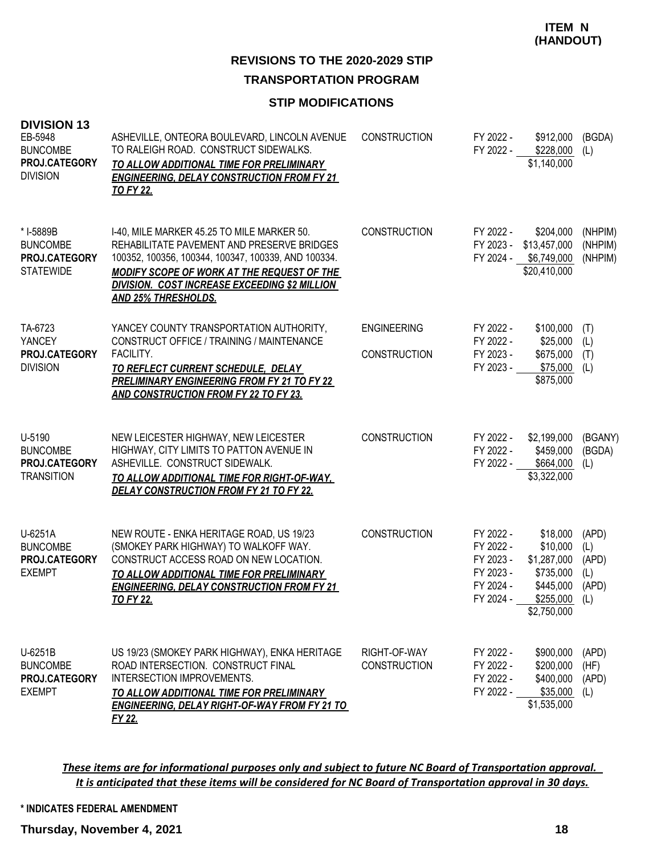### **REVISIONS TO THE 2020-2029 STIP TRANSPORTATION PROGRAM**

### **STIP MODIFICATIONS**

| <b>DIVISION 13</b><br>EB-5948<br><b>BUNCOMBE</b><br>PROJ.CATEGORY<br><b>DIVISION</b> | ASHEVILLE, ONTEORA BOULEVARD, LINCOLN AVENUE<br>TO RALEIGH ROAD. CONSTRUCT SIDEWALKS.<br>TO ALLOW ADDITIONAL TIME FOR PRELIMINARY<br><b>ENGINEERING, DELAY CONSTRUCTION FROM FY 21</b><br><b>TO FY 22.</b>                                                                                 | <b>CONSTRUCTION</b>                       | FY 2022 -<br>FY 2022 -                                                     | \$912,000<br>\$228,000<br>\$1,140,000                                                                 | (BGDA)<br>(L)                 |
|--------------------------------------------------------------------------------------|--------------------------------------------------------------------------------------------------------------------------------------------------------------------------------------------------------------------------------------------------------------------------------------------|-------------------------------------------|----------------------------------------------------------------------------|-------------------------------------------------------------------------------------------------------|-------------------------------|
| * I-5889B<br><b>BUNCOMBE</b><br>PROJ.CATEGORY<br><b>STATEWIDE</b>                    | I-40, MILE MARKER 45.25 TO MILE MARKER 50.<br>REHABILITATE PAVEMENT AND PRESERVE BRIDGES<br>100352, 100356, 100344, 100347, 100339, AND 100334.<br><b>MODIFY SCOPE OF WORK AT THE REQUEST OF THE</b><br><b>DIVISION. COST INCREASE EXCEEDING \$2 MILLION</b><br><b>AND 25% THRESHOLDS.</b> | <b>CONSTRUCTION</b>                       | FY 2022 -<br>FY 2023 -                                                     | \$204,000<br>\$13,457,000<br>FY 2024 - \$6,749,000<br>\$20,410,000                                    | (NHPIM)<br>(NHPIM)<br>(NHPIM) |
| TA-6723<br>YANCEY<br>PROJ.CATEGORY<br><b>DIVISION</b>                                | YANCEY COUNTY TRANSPORTATION AUTHORITY,<br>CONSTRUCT OFFICE / TRAINING / MAINTENANCE<br>FACILITY.<br>TO REFLECT CURRENT SCHEDULE, DELAY<br><b>PRELIMINARY ENGINEERING FROM FY 21 TO FY 22</b><br><b>AND CONSTRUCTION FROM FY 22 TO FY 23.</b>                                              | <b>ENGINEERING</b><br><b>CONSTRUCTION</b> | FY 2022 -<br>FY 2022 -<br>FY 2023 -<br>FY 2023 -                           | \$100,000<br>\$25,000<br>\$675,000<br>\$75,000<br>\$875,000                                           | (T)<br>(L)<br>(T)<br>(L)      |
| U-5190<br><b>BUNCOMBE</b><br>PROJ.CATEGORY<br><b>TRANSITION</b>                      | NEW LEICESTER HIGHWAY, NEW LEICESTER<br>HIGHWAY, CITY LIMITS TO PATTON AVENUE IN<br>ASHEVILLE. CONSTRUCT SIDEWALK.<br>TO ALLOW ADDITIONAL TIME FOR RIGHT-OF-WAY,<br><b>DELAY CONSTRUCTION FROM FY 21 TO FY 22.</b>                                                                         | <b>CONSTRUCTION</b>                       | FY 2022 -<br>FY 2022 -<br>FY 2022 -                                        | \$2,199,000<br>\$459,000<br>\$664,000<br>\$3,322,000                                                  | (BGANY)<br>(BGDA)<br>(L)      |
| U-6251A<br><b>BUNCOMBE</b><br>PROJ.CATEGORY<br><b>EXEMPT</b>                         | NEW ROUTE - ENKA HERITAGE ROAD, US 19/23<br>(SMOKEY PARK HIGHWAY) TO WALKOFF WAY.<br>CONSTRUCT ACCESS ROAD ON NEW LOCATION.<br>TO ALLOW ADDITIONAL TIME FOR PRELIMINARY<br><b>ENGINEERING, DELAY CONSTRUCTION FROM FY 21</b><br><u>TO FY 22.</u>                                           | <b>CONSTRUCTION</b>                       | FY 2022 -<br>FY 2022 -<br>FY 2023 -<br>FY 2023 -<br>FY 2024 -<br>FY 2024 - | \$18,000<br>\$10,000<br>\$1,287,000 (APD)<br>\$735,000<br>\$445,000 (APD)<br>\$255,000<br>\$2,750,000 | (APD)<br>(L)<br>(L)<br>(L)    |
| U-6251B<br><b>BUNCOMBE</b><br>PROJ.CATEGORY<br><b>EXEMPT</b>                         | US 19/23 (SMOKEY PARK HIGHWAY), ENKA HERITAGE<br>ROAD INTERSECTION. CONSTRUCT FINAL<br>INTERSECTION IMPROVEMENTS.<br>TO ALLOW ADDITIONAL TIME FOR PRELIMINARY<br><b>ENGINEERING, DELAY RIGHT-OF-WAY FROM FY 21 TO</b><br>FY 22.                                                            | RIGHT-OF-WAY<br><b>CONSTRUCTION</b>       | FY 2022 -<br>FY 2022 -<br>FY 2022 -<br>FY 2022 -                           | \$900,000<br>\$200,000<br>\$400,000<br>\$35,000<br>\$1,535,000                                        | (APD)<br>(HF)<br>(APD)<br>(L) |

*These items are for informational purposes only and subject to future NC Board of Transportation approval. It is anticipated that these items will be considered for NC Board of Transportation approval in 30 days.*

**\* INDICATES FEDERAL AMENDMENT**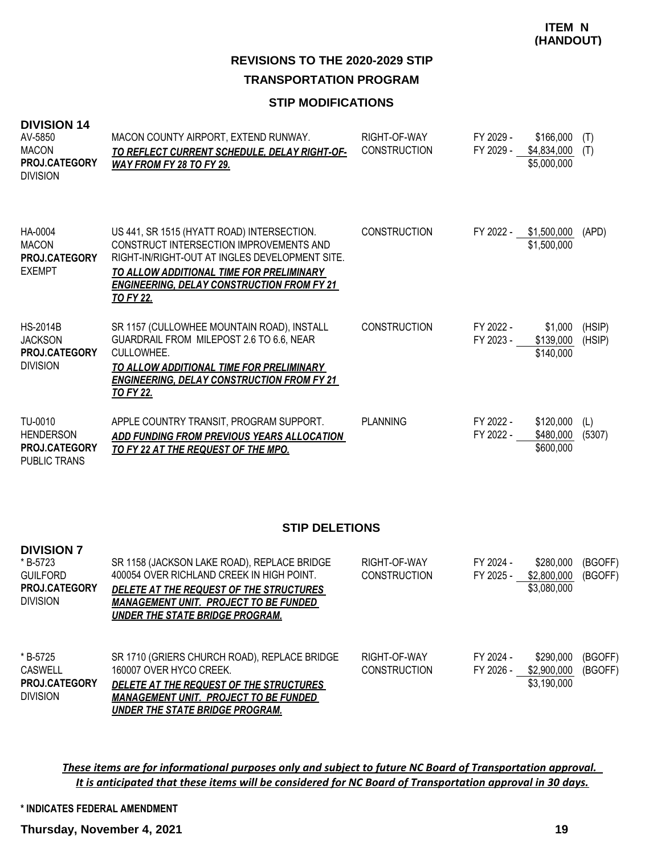### **STIP MODIFICATIONS**

| <b>DIVISION 14</b><br>AV-5850<br><b>MACON</b><br>PROJ.CATEGORY<br><b>DIVISION</b> | MACON COUNTY AIRPORT, EXTEND RUNWAY.<br>TO REFLECT CURRENT SCHEDULE, DELAY RIGHT-OF-<br>WAY FROM FY 28 TO FY 29.                                                                                                                                      | RIGHT-OF-WAY<br><b>CONSTRUCTION</b> | FY 2029 -<br>FY 2029 - | \$166,000<br>\$4,834,000<br>\$5,000,000 | (T)<br>(T)       |
|-----------------------------------------------------------------------------------|-------------------------------------------------------------------------------------------------------------------------------------------------------------------------------------------------------------------------------------------------------|-------------------------------------|------------------------|-----------------------------------------|------------------|
| HA-0004<br><b>MACON</b><br>PROJ.CATEGORY<br><b>EXEMPT</b>                         | US 441, SR 1515 (HYATT ROAD) INTERSECTION.<br>CONSTRUCT INTERSECTION IMPROVEMENTS AND<br>RIGHT-IN/RIGHT-OUT AT INGLES DEVELOPMENT SITE.<br>TO ALLOW ADDITIONAL TIME FOR PRELIMINARY<br><b>ENGINEERING, DELAY CONSTRUCTION FROM FY 21</b><br>TO FY 22. | <b>CONSTRUCTION</b>                 | FY 2022 -              | \$1,500,000<br>\$1,500,000              | (APD)            |
| <b>HS-2014B</b><br><b>JACKSON</b><br>PROJ.CATEGORY<br><b>DIVISION</b>             | SR 1157 (CULLOWHEE MOUNTAIN ROAD), INSTALL<br>GUARDRAIL FROM MILEPOST 2.6 TO 6.6, NEAR<br>CULLOWHEE.<br>TO ALLOW ADDITIONAL TIME FOR PRELIMINARY<br><b>ENGINEERING, DELAY CONSTRUCTION FROM FY 21</b><br>TO FY 22.                                    | <b>CONSTRUCTION</b>                 | FY 2022 -<br>FY 2023 - | \$1,000<br>\$139,000<br>\$140,000       | (HSIP)<br>(HSIP) |
| TU-0010<br><b>HENDERSON</b><br>PROJ.CATEGORY<br>PUBLIC TRANS                      | APPLE COUNTRY TRANSIT, PROGRAM SUPPORT.<br><b>ADD FUNDING FROM PREVIOUS YEARS ALLOCATION</b><br>TO FY 22 AT THE REQUEST OF THE MPO.                                                                                                                   | <b>PLANNING</b>                     | FY 2022 -<br>FY 2022 - | \$120,000<br>\$480,000<br>\$600,000     | (L)<br>(5307)    |

#### **STIP DELETIONS**

| <b>DIVISION 7</b><br>* B-5723<br><b>GUILFORD</b><br><b>PROJ.CATEGORY</b><br><b>DIVISION</b> | SR 1158 (JACKSON LAKE ROAD), REPLACE BRIDGE<br>400054 OVER RICHLAND CREEK IN HIGH POINT.<br>DELETE AT THE REQUEST OF THE STRUCTURES<br><b>MANAGEMENT UNIT. PROJECT TO BE FUNDED</b><br>UNDER THE STATE BRIDGE PROGRAM. | RIGHT-OF-WAY<br><b>CONSTRUCTION</b> | FY 2024 -<br>FY 2025 - | \$280,000<br>\$2,800,000<br>\$3,080,000 | (BGOFF)<br>(BGOFF) |
|---------------------------------------------------------------------------------------------|------------------------------------------------------------------------------------------------------------------------------------------------------------------------------------------------------------------------|-------------------------------------|------------------------|-----------------------------------------|--------------------|
| * B-5725<br>CASWELL<br><b>PROJ.CATEGORY</b><br><b>DIVISION</b>                              | SR 1710 (GRIERS CHURCH ROAD), REPLACE BRIDGE<br>160007 OVER HYCO CREEK.<br>DELETE AT THE REQUEST OF THE STRUCTURES<br><b>MANAGEMENT UNIT. PROJECT TO BE FUNDED</b><br>UNDER THE STATE BRIDGE PROGRAM.                  | RIGHT-OF-WAY<br><b>CONSTRUCTION</b> | FY 2024 -<br>FY 2026 - | \$290,000<br>\$2,900,000<br>\$3,190,000 | (BGOFF)<br>(BGOFF) |

*These items are for informational purposes only and subject to future NC Board of Transportation approval. It is anticipated that these items will be considered for NC Board of Transportation approval in 30 days.*

**\* INDICATES FEDERAL AMENDMENT**